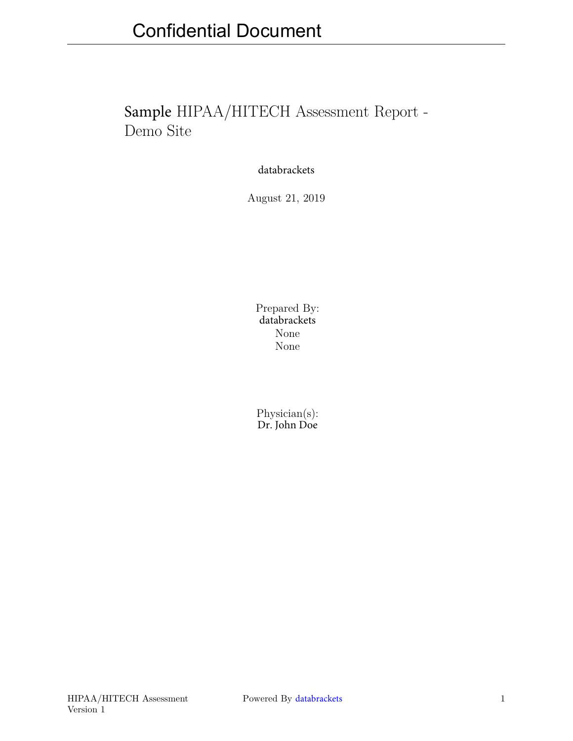# Sample HIPAA/HITECH Assessment Report - Demo Site

databrackets

August 21, 2019

Prepared By: databrackets None None

Physician(s): Dr. John Doe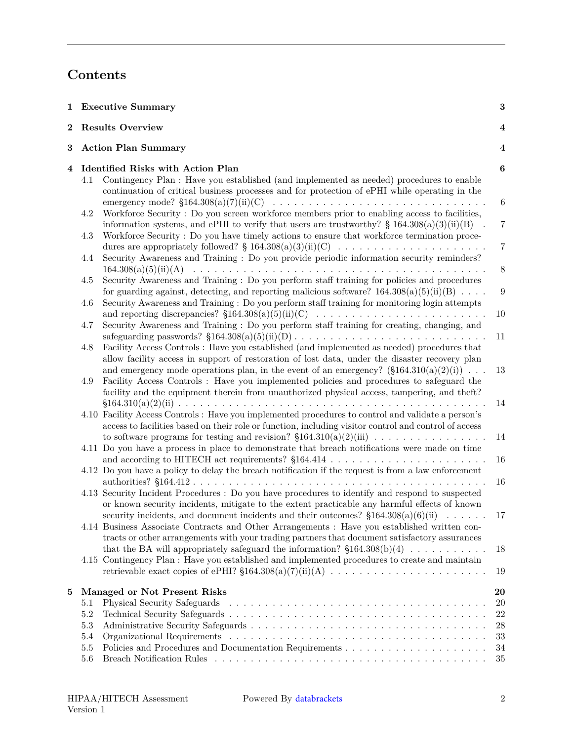# **Contents**

|          |            | 1 Executive Summary                                                                                                                                                                                                                                                                                                     | 3                                  |  |
|----------|------------|-------------------------------------------------------------------------------------------------------------------------------------------------------------------------------------------------------------------------------------------------------------------------------------------------------------------------|------------------------------------|--|
| $\bf{2}$ |            | <b>Results Overview</b>                                                                                                                                                                                                                                                                                                 | 4                                  |  |
| 3        |            | <b>Action Plan Summary</b>                                                                                                                                                                                                                                                                                              |                                    |  |
| 4        | 4.1        | Identified Risks with Action Plan<br>Contingency Plan : Have you established (and implemented as needed) procedures to enable<br>continuation of critical business processes and for protection of ePHI while operating in the                                                                                          | $\boldsymbol{6}$                   |  |
|          | 4.2        | emergency mode? $$164.308(a)(7)(ii)(C) \dots \dots \dots \dots \dots \dots \dots \dots \dots \dots \dots \dots \dots$<br>Workforce Security: Do you screen workforce members prior to enabling access to facilities,<br>information systems, and ePHI to verify that users are trustworthy? § 164.308(a)(3)(ii)(B)      | $\boldsymbol{6}$<br>$\overline{7}$ |  |
|          | $4.3\,$    | Workforce Security: Do you have timely actions to ensure that workforce termination proce-<br>dures are appropriately followed? § 164.308(a)(3)(ii)(C)                                                                                                                                                                  | $\overline{7}$                     |  |
|          | 4.4        | Security Awareness and Training : Do you provide periodic information security reminders?                                                                                                                                                                                                                               | $8\,$                              |  |
|          | 4.5<br>4.6 | Security Awareness and Training : Do you perform staff training for policies and procedures<br>for guarding against, detecting, and reporting malicious software? $164.308(a)(5)(ii)(B) \dots$<br>Security Awareness and Training: Do you perform staff training for monitoring login attempts                          | $\overline{9}$                     |  |
|          | 4.7        | Security Awareness and Training : Do you perform staff training for creating, changing, and                                                                                                                                                                                                                             | 10<br>11                           |  |
|          | 4.8        | Facility Access Controls : Have you established (and implemented as needed) procedures that<br>allow facility access in support of restoration of lost data, under the disaster recovery plan                                                                                                                           |                                    |  |
|          | 4.9        | and emergency mode operations plan, in the event of an emergency? $(\S 164.310(a)(2)(i))$<br>Facility Access Controls : Have you implemented policies and procedures to safeguard the<br>facility and the equipment therein from unauthorized physical access, tampering, and theft?                                    | 13                                 |  |
|          |            | 4.10 Facility Access Controls : Have you implemented procedures to control and validate a person's<br>access to facilities based on their role or function, including visitor control and control of access<br>to software programs for testing and revision? $$164.310(a)(2)(iii) \dots \dots \dots \dots \dots \dots$ | 14<br>14                           |  |
|          |            | 4.11 Do you have a process in place to demonstrate that breach notifications were made on time                                                                                                                                                                                                                          | 16                                 |  |
|          |            | 4.12 Do you have a policy to delay the breach notification if the request is from a law enforcement                                                                                                                                                                                                                     | 16                                 |  |
|          |            | 4.13 Security Incident Procedures : Do you have procedures to identify and respond to suspected<br>or known security incidents, mitigate to the extent practicable any harmful effects of known<br>security incidents, and document incidents and their outcomes? $$164.308(a)(6)(ii) \dots \dots$                      | 17                                 |  |
|          |            | 4.14 Business Associate Contracts and Other Arrangements : Have you established written con-<br>tracts or other arrangements with your trading partners that document satisfactory assurances<br>that the BA will appropriately safeguard the information? $$164.308(b)(4) \dots \dots \dots \dots$                     | 18                                 |  |
|          |            | 4.15 Contingency Plan : Have you established and implemented procedures to create and maintain                                                                                                                                                                                                                          | 19                                 |  |
| 5        |            | Managed or Not Present Risks                                                                                                                                                                                                                                                                                            | 20                                 |  |
|          | 5.1<br>5.2 |                                                                                                                                                                                                                                                                                                                         | 20<br>22                           |  |
|          | $5.3\,$    |                                                                                                                                                                                                                                                                                                                         | 28                                 |  |
|          | $5.4\,$    |                                                                                                                                                                                                                                                                                                                         | 33                                 |  |
|          | $5.5\,$    |                                                                                                                                                                                                                                                                                                                         | 34                                 |  |
|          | 5.6        |                                                                                                                                                                                                                                                                                                                         | 35                                 |  |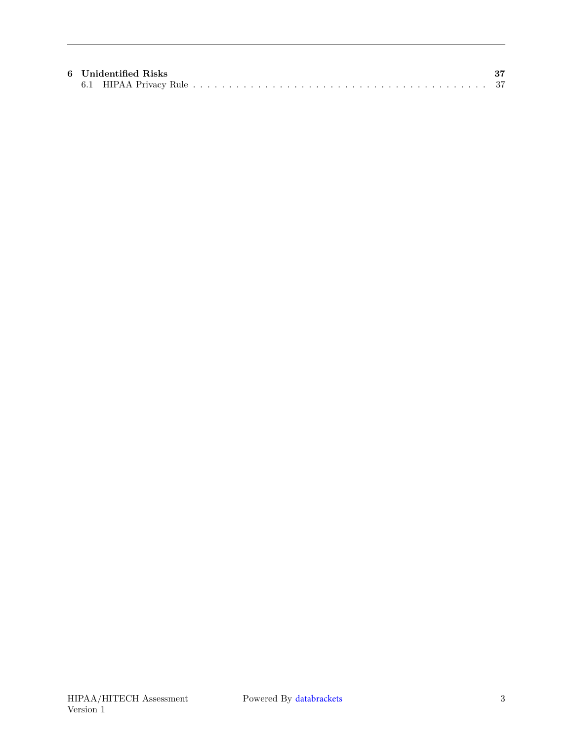|  | 6 Unidentified Risks |  |
|--|----------------------|--|
|  |                      |  |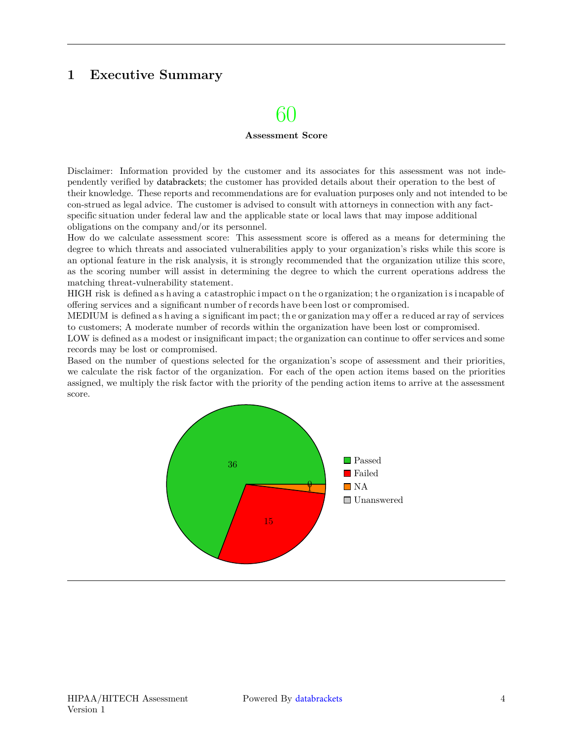## <span id="page-3-0"></span>**1 Executive Summary**

## 60

#### **Assessment Score**

Disclaimer: Information provided by the customer and its associates for this assessment was not independently verified by databrackets; the customer has provided details about their operation to the best of their knowledge. These reports and recommendations are for evaluation purposes only and not intended to be con-strued as legal advice. The customer is advised to consult with attorneys in connection with any factspecific situation under federal law and the applicable state or local laws that may impose additional obligations on the company and/or its personnel.

How do we calculate assessment score: This assessment score is offered as a means for determining the degree to which threats and associated vulnerabilities apply to your organization's risks while this score is an optional feature in the risk analysis, it is strongly recommended that the organization utilize this score, as the scoring number will assist in determining the degree to which the current operations address the matching threat-vulnerability statement.

HIGH risk is defined as h aving a c atastrophic impact on the organization; the organization is incapable of offering services and a significant number o f records h ave b een l ost o r compromised.

MEDIUM is defined a s h aving a s ignificant im pact; th e or ganization ma y off er a re duced ar ray of services to customers; A moderate number of records within the organization have been lost or compromised.

LOW is defined as a modest or insignificant impact; the organization can continue to offer services and some records may be lost or compromised.

Based on the number of questions selected for the organization's scope of assessment and their priorities, we calculate the risk factor of the organization. For each of the open action items based on the priorities assigned, we multiply the risk factor with the priority of the pending action items to arrive at the assessment score.

<span id="page-3-1"></span>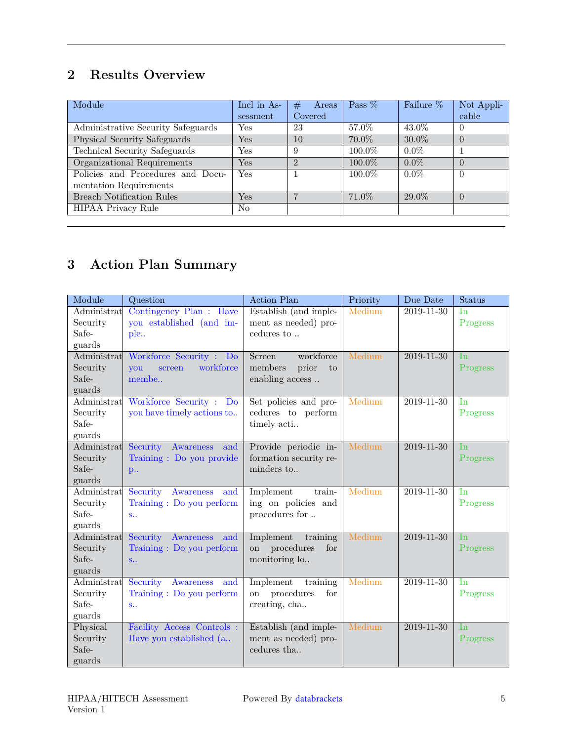## **2 Results Overview**

| Module                             | Incl in As- | #<br>Areas     | Pass $%$  | Failure % | Not Appli- |
|------------------------------------|-------------|----------------|-----------|-----------|------------|
|                                    | sessment    | Covered        |           |           | cable      |
| Administrative Security Safeguards | Yes         | 23             | 57.0%     | 43.0%     | $\theta$   |
| Physical Security Safeguards       | Yes         | 10             | $70.0\%$  | $30.0\%$  | $\Omega$   |
| Technical Security Safeguards      | Yes         | 9              | $100.0\%$ | $0.0\%$   |            |
| Organizational Requirements        | Yes         | $\mathfrak{D}$ | 100.0%    | $0.0\%$   | $\Omega$   |
| Policies and Procedures and Docu-  | Yes         |                | $100.0\%$ | $0.0\%$   | $\Omega$   |
| mentation Requirements             |             |                |           |           |            |
| <b>Breach Notification Rules</b>   | Yes         | $\overline{ }$ | 71.0\%    | 29.0%     | $\Omega$   |
| HIPAA Privacy Rule                 | No          |                |           |           |            |

# <span id="page-4-0"></span>**3 Action Plan Summary**

| Module      | Question                     | <b>Action Plan</b>                 | Priority | Due Date         | Status         |
|-------------|------------------------------|------------------------------------|----------|------------------|----------------|
| Administrat | Contingency Plan : Have      | Establish (and imple-              | Medium   | $2019 - 11 - 30$ | <b>In</b>      |
| Security    | you established (and im-     | ment as needed) pro-               |          |                  | Progress       |
| Safe-       | ple                          | cedures to $\ldots$                |          |                  |                |
| guards      |                              |                                    |          |                  |                |
| Administrat | Workforce Security :<br>Do   | workforce<br>Screen                | Medium   | $2019 - 11 - 30$ | I <sub>n</sub> |
| Security    | workforce<br>vou<br>screen   | members<br>prior<br>to             |          |                  | Progress       |
| Safe-       | membe                        | enabling access                    |          |                  |                |
| guards      |                              |                                    |          |                  |                |
| Administrat | Workforce Security : Do      | Set policies and pro-              | Medium   | 2019-11-30       | In             |
| Security    | you have timely actions to   | cedures to perform                 |          |                  | Progress       |
| Safe-       |                              | timely acti                        |          |                  |                |
| guards      |                              |                                    |          |                  |                |
| Administrat | Security<br>Awareness<br>and | Provide periodic in-               | Medium   | $2019 - 11 - 30$ | <b>In</b>      |
| Security    | Training : Do you provide    | formation security re-             |          |                  | Progress       |
| Safe-       | p                            | minders to                         |          |                  |                |
| guards      |                              |                                    |          |                  |                |
| Administrat | Security<br>Awareness<br>and | Implement<br>train-                | Medium   | 2019-11-30       | In             |
| Security    | Training : Do you perform    | ing on policies and                |          |                  | Progress       |
| Safe-       | $S_{11}$                     | procedures for                     |          |                  |                |
| guards      |                              |                                    |          |                  |                |
| Administrat | Security Awareness<br>and    | Implement<br>training              | Medium   | $2019 - 11 - 30$ | I <sub>n</sub> |
| Security    | Training : Do you perform    | on procedures<br>for               |          |                  | Progress       |
| Safe-       | S                            | monitoring lo                      |          |                  |                |
| guards      |                              |                                    |          |                  |                |
| Administrat | Security<br>Awareness<br>and | Implement<br>training              | Medium   | 2019-11-30       | In             |
| Security    | Training : Do you perform    | procedures<br>for<br><sub>on</sub> |          |                  | Progress       |
| Safe-       | $S_{11}$                     | creating, cha                      |          |                  |                |
| guards      |                              |                                    |          |                  |                |
| Physical    | Facility Access Controls :   | Establish (and imple-              | Medium   | $2019 - 11 - 30$ | <b>In</b>      |
| Security    | Have you established (a      | ment as needed) pro-               |          |                  | Progress       |
| Safe-       |                              | cedures tha                        |          |                  |                |
| guards      |                              |                                    |          |                  |                |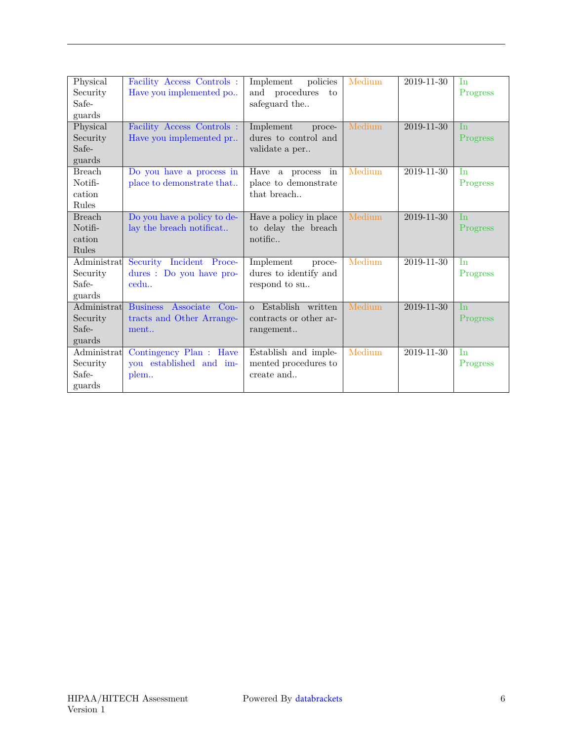| Physical      | Facility Access Controls:         | Implement<br>policies  | Medium | 2019-11-30       | In         |
|---------------|-----------------------------------|------------------------|--------|------------------|------------|
| Security      | Have you implemented po           | and procedures<br>to   |        |                  | Progress   |
| Safe-         |                                   | safeguard the          |        |                  |            |
| guards        |                                   |                        |        |                  |            |
| Physical      | Facility Access Controls :        | Implement<br>proce-    | Medium | $2019 - 11 - 30$ | <b>In</b>  |
| Security      | Have you implemented pr           | dures to control and   |        |                  | Progress   |
| Safe-         |                                   | validate a per         |        |                  |            |
| guards        |                                   |                        |        |                  |            |
| <b>Breach</b> | Do you have a process in          | Have a process<br>in   | Medium | 2019-11-30       | <b>I</b> n |
| Notifi-       | place to demonstrate that         | place to demonstrate   |        |                  | Progress   |
| cation        |                                   | that breach            |        |                  |            |
| Rules         |                                   |                        |        |                  |            |
| <b>Breach</b> | Do you have a policy to de-       | Have a policy in place | Medium | 2019-11-30       | In         |
| Notifi-       | lay the breach notificat          | to delay the breach    |        |                  | Progress   |
| cation        |                                   | notific                |        |                  |            |
| Rules         |                                   |                        |        |                  |            |
| Administrat   | Security Incident Proce-          | Implement<br>proce-    | Medium | 2019-11-30       | In         |
| Security      | dures : Do you have pro-          | dures to identify and  |        |                  | Progress   |
| Safe-         | cedu                              | respond to su          |        |                  |            |
| guards        |                                   |                        |        |                  |            |
| Administrat   | <b>Business</b><br>Associate Con- | o Establish written    | Medium | 2019-11-30       | <b>I</b> n |
| Security      | tracts and Other Arrange-         | contracts or other ar- |        |                  | Progress   |
| Safe-         | ment                              | rangement              |        |                  |            |
| guards        |                                   |                        |        |                  |            |
| Administrat   | Contingency Plan : Have           | Establish and imple-   | Medium | 2019-11-30       | In         |
| Security      | you established and im-           | mented procedures to   |        |                  | Progress   |
| Safe-         | plem                              | create and             |        |                  |            |
| guards        |                                   |                        |        |                  |            |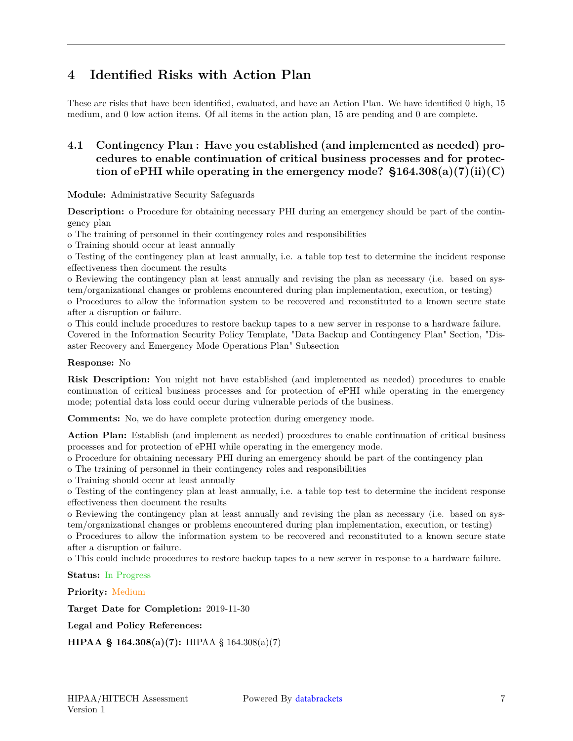## <span id="page-6-0"></span>**4 Identified Risks with Action Plan**

These are risks that have been identified, evaluated, and have an Action Plan. We have identified 0 high, 15 medium, and 0 low action items. Of all items in the action plan, 15 are pending and 0 are complete.

## <span id="page-6-1"></span>**4.1 Contingency Plan : Have you established (and implemented as needed) procedures to enable continuation of critical business processes and for protec**tion of ePHI while operating in the emergency mode?  $$164.308(a)(7)(ii)(C)$

**Module:** Administrative Security Safeguards

**Description:** o Procedure for obtaining necessary PHI during an emergency should be part of the contingency plan

o The training of personnel in their contingency roles and responsibilities

o Training should occur at least annually

o Testing of the contingency plan at least annually, i.e. a table top test to determine the incident response effectiveness then document the results

o Reviewing the contingency plan at least annually and revising the plan as necessary (i.e. based on system/organizational changes or problems encountered during plan implementation, execution, or testing)

o Procedures to allow the information system to be recovered and reconstituted to a known secure state after a disruption or failure.

o This could include procedures to restore backup tapes to a new server in response to a hardware failure. Covered in the Information Security Policy Template, "Data Backup and Contingency Plan" Section, "Disaster Recovery and Emergency Mode Operations Plan" Subsection

#### **Response:** No

**Risk Description:** You might not have established (and implemented as needed) procedures to enable continuation of critical business processes and for protection of ePHI while operating in the emergency mode; potential data loss could occur during vulnerable periods of the business.

**Comments:** No, we do have complete protection during emergency mode.

**Action Plan:** Establish (and implement as needed) procedures to enable continuation of critical business processes and for protection of ePHI while operating in the emergency mode.

o Procedure for obtaining necessary PHI during an emergency should be part of the contingency plan

o The training of personnel in their contingency roles and responsibilities

o Training should occur at least annually

o Testing of the contingency plan at least annually, i.e. a table top test to determine the incident response effectiveness then document the results

o Reviewing the contingency plan at least annually and revising the plan as necessary (i.e. based on system/organizational changes or problems encountered during plan implementation, execution, or testing)

o Procedures to allow the information system to be recovered and reconstituted to a known secure state after a disruption or failure.

o This could include procedures to restore backup tapes to a new server in response to a hardware failure.

**Status:** In Progress

**Priority:** Medium

**Target Date for Completion:** 2019-11-30

**Legal and Policy References:**

<span id="page-6-2"></span>**HIPAA § 164.308(a)(7):** HIPAA § 164.308(a)(7)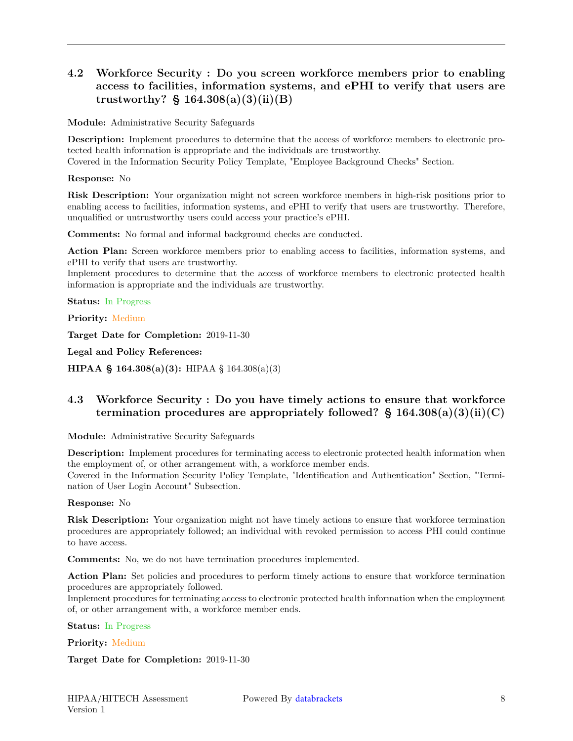## **4.2 Workforce Security : Do you screen workforce members prior to enabling access to facilities, information systems, and ePHI to verify that users are trustworthy? § 164.308(a)(3)(ii)(B)**

**Module:** Administrative Security Safeguards

**Description:** Implement procedures to determine that the access of workforce members to electronic protected health information is appropriate and the individuals are trustworthy.

Covered in the Information Security Policy Template, "Employee Background Checks" Section.

**Response:** No

**Risk Description:** Your organization might not screen workforce members in high-risk positions prior to enabling access to facilities, information systems, and ePHI to verify that users are trustworthy. Therefore, unqualified or untrustworthy users could access your practice's ePHI.

**Comments:** No formal and informal background checks are conducted.

**Action Plan:** Screen workforce members prior to enabling access to facilities, information systems, and ePHI to verify that users are trustworthy.

Implement procedures to determine that the access of workforce members to electronic protected health information is appropriate and the individuals are trustworthy.

**Status:** In Progress

**Priority:** Medium

**Target Date for Completion:** 2019-11-30

**Legal and Policy References:**

<span id="page-7-0"></span>**HIPAA § 164.308(a)(3):** HIPAA § 164.308(a)(3)

### **4.3 Workforce Security : Do you have timely actions to ensure that workforce termination procedures are appropriately followed? § 164.308(a)(3)(ii)(C)**

**Module:** Administrative Security Safeguards

**Description:** Implement procedures for terminating access to electronic protected health information when the employment of, or other arrangement with, a workforce member ends.

Covered in the Information Security Policy Template, "Identification and Authentication" Section, "Termination of User Login Account" Subsection.

#### **Response:** No

**Risk Description:** Your organization might not have timely actions to ensure that workforce termination procedures are appropriately followed; an individual with revoked permission to access PHI could continue to have access.

**Comments:** No, we do not have termination procedures implemented.

Action Plan: Set policies and procedures to perform timely actions to ensure that workforce termination procedures are appropriately followed.

Implement procedures for terminating access to electronic protected health information when the employment of, or other arrangement with, a workforce member ends.

**Status:** In Progress

**Priority:** Medium

**Target Date for Completion:** 2019-11-30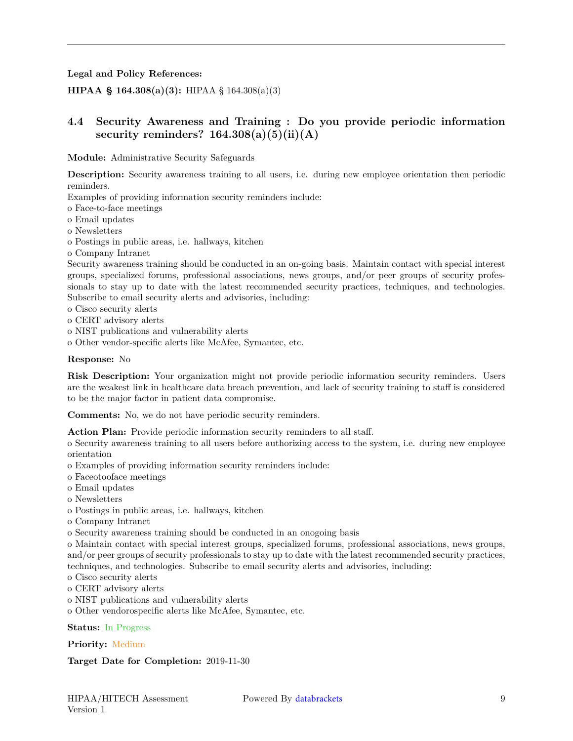**Legal and Policy References:**

<span id="page-8-0"></span>**HIPAA § 164.308(a)(3):** HIPAA § 164.308(a)(3)

## **4.4 Security Awareness and Training : Do you provide periodic information security reminders? 164.308(a)(5)(ii)(A)**

**Module:** Administrative Security Safeguards

**Description:** Security awareness training to all users, i.e. during new employee orientation then periodic reminders.

Examples of providing information security reminders include:

o Face-to-face meetings

o Email updates

o Newsletters

o Postings in public areas, i.e. hallways, kitchen

o Company Intranet

Security awareness training should be conducted in an on-going basis. Maintain contact with special interest groups, specialized forums, professional associations, news groups, and/or peer groups of security professionals to stay up to date with the latest recommended security practices, techniques, and technologies. Subscribe to email security alerts and advisories, including:

- o Cisco security alerts
- o CERT advisory alerts
- o NIST publications and vulnerability alerts
- o Other vendor-specific alerts like McAfee, Symantec, etc.

#### **Response:** No

**Risk Description:** Your organization might not provide periodic information security reminders. Users are the weakest link in healthcare data breach prevention, and lack of security training to staff is considered to be the major factor in patient data compromise.

**Comments:** No, we do not have periodic security reminders.

**Action Plan:** Provide periodic information security reminders to all staff.

o Security awareness training to all users before authorizing access to the system, i.e. during new employee orientation

- o Examples of providing information security reminders include:
- o Faceotooface meetings
- o Email updates
- o Newsletters
- o Postings in public areas, i.e. hallways, kitchen
- o Company Intranet
- o Security awareness training should be conducted in an onogoing basis

o Maintain contact with special interest groups, specialized forums, professional associations, news groups, and/or peer groups of security professionals to stay up to date with the latest recommended security practices, techniques, and technologies. Subscribe to email security alerts and advisories, including:

o Cisco security alerts

o CERT advisory alerts

- o NIST publications and vulnerability alerts
- o Other vendorospecific alerts like McAfee, Symantec, etc.

#### **Status:** In Progress

#### **Priority:** Medium

#### **Target Date for Completion:** 2019-11-30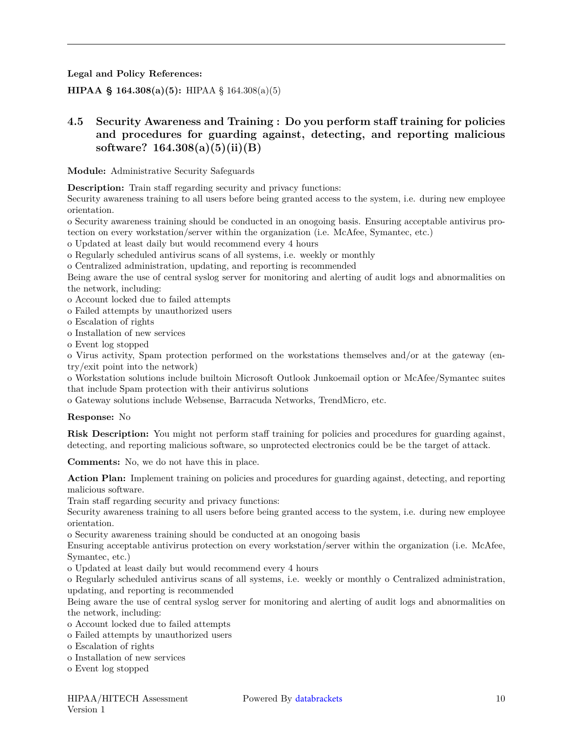**Legal and Policy References:**

<span id="page-9-0"></span>**HIPAA § 164.308(a)(5):** HIPAA § 164.308(a)(5)

## **4.5 Security Awareness and Training : Do you perform staff training for policies and procedures for guarding against, detecting, and reporting malicious software? 164.308(a)(5)(ii)(B)**

**Module:** Administrative Security Safeguards

**Description:** Train staff regarding security and privacy functions:

Security awareness training to all users before being granted access to the system, i.e. during new employee orientation.

o Security awareness training should be conducted in an onogoing basis. Ensuring acceptable antivirus protection on every workstation/server within the organization (i.e. McAfee, Symantec, etc.)

o Updated at least daily but would recommend every 4 hours

o Regularly scheduled antivirus scans of all systems, i.e. weekly or monthly

o Centralized administration, updating, and reporting is recommended

Being aware the use of central syslog server for monitoring and alerting of audit logs and abnormalities on the network, including:

o Account locked due to failed attempts

o Failed attempts by unauthorized users

o Escalation of rights

o Installation of new services

o Event log stopped

o Virus activity, Spam protection performed on the workstations themselves and/or at the gateway (entry/exit point into the network)

o Workstation solutions include builtoin Microsoft Outlook Junkoemail option or McAfee/Symantec suites that include Spam protection with their antivirus solutions

o Gateway solutions include Websense, Barracuda Networks, TrendMicro, etc.

#### **Response:** No

**Risk Description:** You might not perform staff training for policies and procedures for guarding against, detecting, and reporting malicious software, so unprotected electronics could be be the target of attack.

**Comments:** No, we do not have this in place.

**Action Plan:** Implement training on policies and procedures for guarding against, detecting, and reporting malicious software.

Train staff regarding security and privacy functions:

Security awareness training to all users before being granted access to the system, i.e. during new employee orientation.

o Security awareness training should be conducted at an onogoing basis

Ensuring acceptable antivirus protection on every workstation/server within the organization (i.e. McAfee, Symantec, etc.)

o Updated at least daily but would recommend every 4 hours

o Regularly scheduled antivirus scans of all systems, i.e. weekly or monthly o Centralized administration, updating, and reporting is recommended

Being aware the use of central syslog server for monitoring and alerting of audit logs and abnormalities on the network, including:

o Account locked due to failed attempts

o Failed attempts by unauthorized users

- o Escalation of rights
- o Installation of new services

o Event log stopped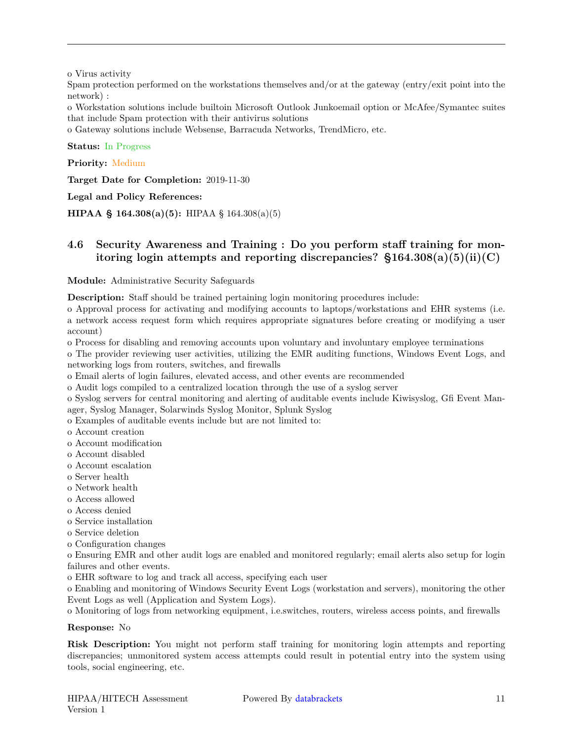o Virus activity

Spam protection performed on the workstations themselves and/or at the gateway (entry/exit point into the network) :

o Workstation solutions include builtoin Microsoft Outlook Junkoemail option or McAfee/Symantec suites that include Spam protection with their antivirus solutions

o Gateway solutions include Websense, Barracuda Networks, TrendMicro, etc.

**Status:** In Progress

**Priority:** Medium

**Target Date for Completion:** 2019-11-30

**Legal and Policy References:**

<span id="page-10-0"></span>**HIPAA § 164.308(a)(5):** HIPAA § 164.308(a)(5)

### **4.6 Security Awareness and Training : Do you perform staff training for monitoring login attempts and reporting discrepancies? §164.308(a)(5)(ii)(C)**

**Module:** Administrative Security Safeguards

**Description:** Staff should be trained pertaining login monitoring procedures include:

o Approval process for activating and modifying accounts to laptops/workstations and EHR systems (i.e. a network access request form which requires appropriate signatures before creating or modifying a user account)

o Process for disabling and removing accounts upon voluntary and involuntary employee terminations o The provider reviewing user activities, utilizing the EMR auditing functions, Windows Event Logs, and

networking logs from routers, switches, and firewalls

o Email alerts of login failures, elevated access, and other events are recommended

o Audit logs compiled to a centralized location through the use of a syslog server

o Syslog servers for central monitoring and alerting of auditable events include Kiwisyslog, Gfi Event Manager, Syslog Manager, Solarwinds Syslog Monitor, Splunk Syslog

o Examples of auditable events include but are not limited to:

o Account creation

o Account modification

- o Account disabled
- o Account escalation
- o Server health
- o Network health
- o Access allowed
- o Access denied
- o Service installation
- o Service deletion

o Configuration changes

o Ensuring EMR and other audit logs are enabled and monitored regularly; email alerts also setup for login failures and other events.

o EHR software to log and track all access, specifying each user

o Enabling and monitoring of Windows Security Event Logs (workstation and servers), monitoring the other Event Logs as well (Application and System Logs).

o Monitoring of logs from networking equipment, i.e.switches, routers, wireless access points, and firewalls

#### **Response:** No

**Risk Description:** You might not perform staff training for monitoring login attempts and reporting discrepancies; unmonitored system access attempts could result in potential entry into the system using tools, social engineering, etc.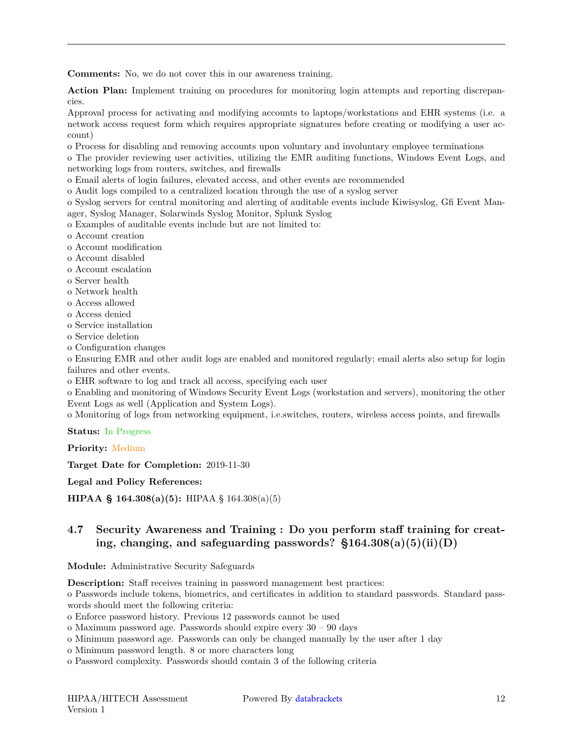**Comments:** No, we do not cover this in our awareness training.

**Action Plan:** Implement training on procedures for monitoring login attempts and reporting discrepancies.

Approval process for activating and modifying accounts to laptops/workstations and EHR systems (i.e. a network access request form which requires appropriate signatures before creating or modifying a user account)

o Process for disabling and removing accounts upon voluntary and involuntary employee terminations

o The provider reviewing user activities, utilizing the EMR auditing functions, Windows Event Logs, and networking logs from routers, switches, and firewalls

o Email alerts of login failures, elevated access, and other events are recommended

o Audit logs compiled to a centralized location through the use of a syslog server

o Syslog servers for central monitoring and alerting of auditable events include Kiwisyslog, Gfi Event Manager, Syslog Manager, Solarwinds Syslog Monitor, Splunk Syslog

o Examples of auditable events include but are not limited to:

o Account creation

o Account modification

o Account disabled

o Account escalation

- o Server health
- o Network health
- o Access allowed
- o Access denied
- o Service installation

o Service deletion

o Configuration changes

o Ensuring EMR and other audit logs are enabled and monitored regularly; email alerts also setup for login failures and other events.

o EHR software to log and track all access, specifying each user

o Enabling and monitoring of Windows Security Event Logs (workstation and servers), monitoring the other Event Logs as well (Application and System Logs).

o Monitoring of logs from networking equipment, i.e.switches, routers, wireless access points, and firewalls

**Status:** In Progress

**Priority:** Medium

**Target Date for Completion:** 2019-11-30

**Legal and Policy References:**

<span id="page-11-0"></span>**HIPAA § 164.308(a)(5):** HIPAA § 164.308(a)(5)

## **4.7 Security Awareness and Training : Do you perform staff training for creating, changing, and safeguarding passwords? §164.308(a)(5)(ii)(D)**

**Module:** Administrative Security Safeguards

**Description:** Staff receives training in password management best practices:

o Passwords include tokens, biometrics, and certificates in addition to standard passwords. Standard passwords should meet the following criteria:

o Enforce password history. Previous 12 passwords cannot be used

o Maximum password age. Passwords should expire every 30 – 90 days

o Minimum password age. Passwords can only be changed manually by the user after 1 day

o Minimum password length. 8 or more characters long

o Password complexity. Passwords should contain 3 of the following criteria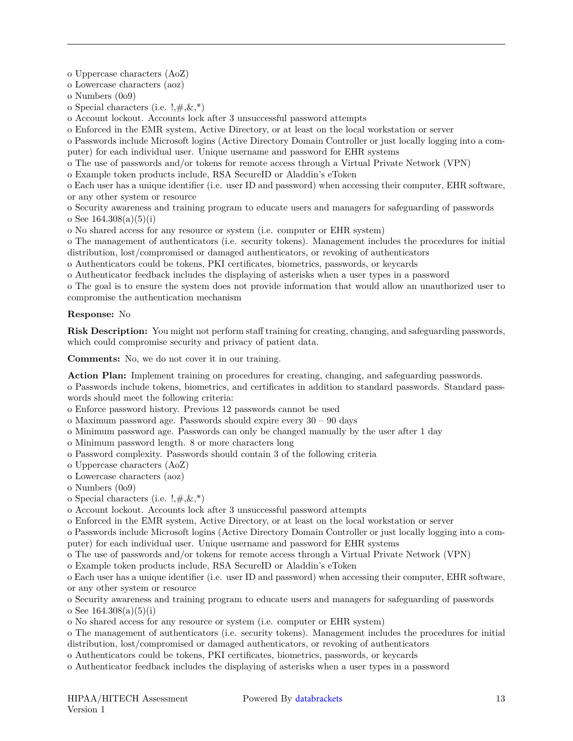o Uppercase characters (AoZ)

o Lowercase characters (aoz)

o Numbers (0o9)

o Special characters (i.e.  $!, \nexists, \&, *$ )

o Account lockout. Accounts lock after 3 unsuccessful password attempts

o Enforced in the EMR system, Active Directory, or at least on the local workstation or server

o Passwords include Microsoft logins (Active Directory Domain Controller or just locally logging into a computer) for each individual user. Unique username and password for EHR systems

o The use of passwords and/or tokens for remote access through a Virtual Private Network (VPN)

o Example token products include, RSA SecureID or Aladdin's eToken

o Each user has a unique identifier (i.e. user ID and password) when accessing their computer, EHR software, or any other system or resource

o Security awareness and training program to educate users and managers for safeguarding of passwords o See  $164.308(a)(5)(i)$ 

o No shared access for any resource or system (i.e. computer or EHR system)

o The management of authenticators (i.e. security tokens). Management includes the procedures for initial distribution, lost/compromised or damaged authenticators, or revoking of authenticators

o Authenticators could be tokens, PKI certificates, biometrics, passwords, or keycards

o Authenticator feedback includes the displaying of asterisks when a user types in a password

o The goal is to ensure the system does not provide information that would allow an unauthorized user to compromise the authentication mechanism

#### **Response:** No

**Risk Description:** You might not perform staff training for creating, changing, and safeguarding passwords, which could compromise security and privacy of patient data.

**Comments:** No, we do not cover it in our training.

**Action Plan:** Implement training on procedures for creating, changing, and safeguarding passwords.

o Passwords include tokens, biometrics, and certificates in addition to standard passwords. Standard passwords should meet the following criteria:

o Enforce password history. Previous 12 passwords cannot be used

o Maximum password age. Passwords should expire every 30 – 90 days

o Minimum password age. Passwords can only be changed manually by the user after 1 day

o Minimum password length. 8 or more characters long

o Password complexity. Passwords should contain 3 of the following criteria

o Uppercase characters (AoZ)

o Lowercase characters (aoz)

o Numbers (0o9)

o Special characters (i.e.  $!, \#,\&,^*)$ 

o Account lockout. Accounts lock after 3 unsuccessful password attempts

o Enforced in the EMR system, Active Directory, or at least on the local workstation or server

o Passwords include Microsoft logins (Active Directory Domain Controller or just locally logging into a computer) for each individual user. Unique username and password for EHR systems

o The use of passwords and/or tokens for remote access through a Virtual Private Network (VPN)

o Example token products include, RSA SecureID or Aladdin's eToken

o Each user has a unique identifier (i.e. user ID and password) when accessing their computer, EHR software, or any other system or resource

o Security awareness and training program to educate users and managers for safeguarding of passwords o See  $164.308(a)(5)(i)$ 

o No shared access for any resource or system (i.e. computer or EHR system)

o The management of authenticators (i.e. security tokens). Management includes the procedures for initial distribution, lost/compromised or damaged authenticators, or revoking of authenticators

o Authenticators could be tokens, PKI certificates, biometrics, passwords, or keycards

o Authenticator feedback includes the displaying of asterisks when a user types in a password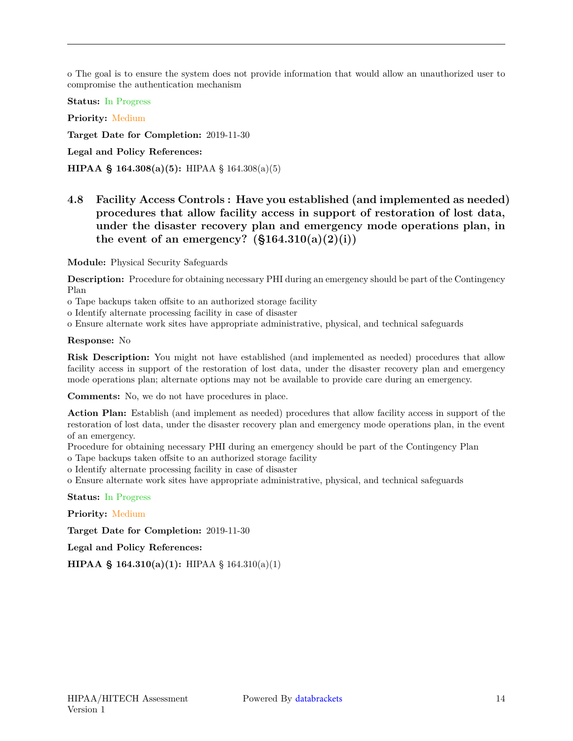o The goal is to ensure the system does not provide information that would allow an unauthorized user to compromise the authentication mechanism

**Status:** In Progress

**Priority:** Medium

**Target Date for Completion:** 2019-11-30

**Legal and Policy References:**

<span id="page-13-0"></span>**HIPAA § 164.308(a)(5):** HIPAA § 164.308(a)(5)

## **4.8 Facility Access Controls : Have you established (and implemented as needed) procedures that allow facility access in support of restoration of lost data, under the disaster recovery plan and emergency mode operations plan, in** the event of an emergency?  $(\S 164.310(a)(2)(i))$

**Module:** Physical Security Safeguards

**Description:** Procedure for obtaining necessary PHI during an emergency should be part of the Contingency Plan

o Tape backups taken offsite to an authorized storage facility

o Identify alternate processing facility in case of disaster

o Ensure alternate work sites have appropriate administrative, physical, and technical safeguards

#### **Response:** No

**Risk Description:** You might not have established (and implemented as needed) procedures that allow facility access in support of the restoration of lost data, under the disaster recovery plan and emergency mode operations plan; alternate options may not be available to provide care during an emergency.

**Comments:** No, we do not have procedures in place.

**Action Plan:** Establish (and implement as needed) procedures that allow facility access in support of the restoration of lost data, under the disaster recovery plan and emergency mode operations plan, in the event of an emergency.

Procedure for obtaining necessary PHI during an emergency should be part of the Contingency Plan o Tape backups taken offsite to an authorized storage facility

o Identify alternate processing facility in case of disaster

o Ensure alternate work sites have appropriate administrative, physical, and technical safeguards

**Status:** In Progress

**Priority:** Medium

**Target Date for Completion:** 2019-11-30

**Legal and Policy References:**

<span id="page-13-1"></span>**HIPAA § 164.310(a)(1):** HIPAA § 164.310(a)(1)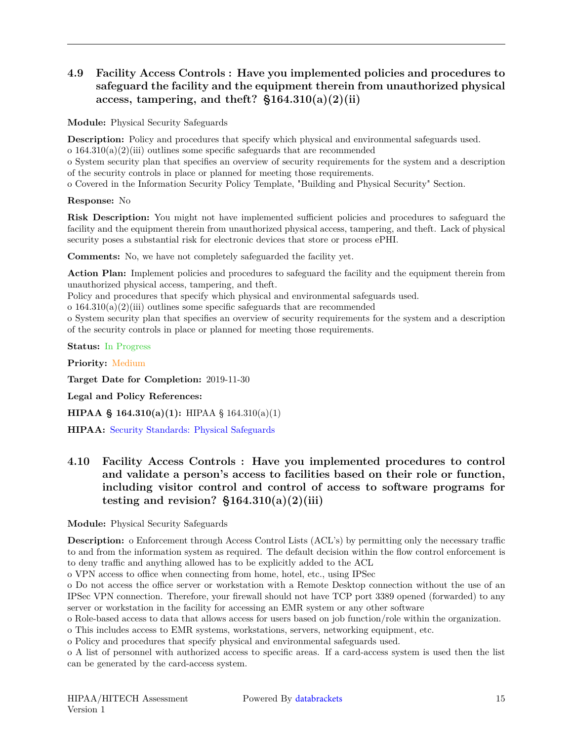## **4.9 Facility Access Controls : Have you implemented policies and procedures to safeguard the facility and the equipment therein from unauthorized physical access, tampering, and theft? §164.310(a)(2)(ii)**

**Module:** Physical Security Safeguards

**Description:** Policy and procedures that specify which physical and environmental safeguards used.

o  $164.310(a)(2)(iii)$  outlines some specific safeguards that are recommended

o System security plan that specifies an overview of security requirements for the system and a description of the security controls in place or planned for meeting those requirements.

o Covered in the Information Security Policy Template, "Building and Physical Security" Section.

#### **Response:** No

**Risk Description:** You might not have implemented sufficient policies and procedures to safeguard the facility and the equipment therein from unauthorized physical access, tampering, and theft. Lack of physical security poses a substantial risk for electronic devices that store or process ePHI.

**Comments:** No, we have not completely safeguarded the facility yet.

**Action Plan:** Implement policies and procedures to safeguard the facility and the equipment therein from unauthorized physical access, tampering, and theft.

Policy and procedures that specify which physical and environmental safeguards used.

o  $164.310(a)(2)(iii)$  outlines some specific safeguards that are recommended

o System security plan that specifies an overview of security requirements for the system and a description of the security controls in place or planned for meeting those requirements.

**Status:** In Progress

**Priority:** Medium

**Target Date for Completion:** 2019-11-30

**Legal and Policy References:**

**HIPAA § 164.310(a)(1):** HIPAA § 164.310(a)(1)

<span id="page-14-0"></span>**HIPAA:** [Security Standards: Physical Safeguards](https://www.hhs.gov/sites/default/files/ocr/privacy/hipaa/administrative/securityrule/physsafeguards.pdf)

## **4.10 Facility Access Controls : Have you implemented procedures to control and validate a person's access to facilities based on their role or function, including visitor control and control of access to software programs for testing and revision? §164.310(a)(2)(iii)**

**Module:** Physical Security Safeguards

**Description:** o Enforcement through Access Control Lists (ACL's) by permitting only the necessary traffic to and from the information system as required. The default decision within the flow control enforcement is to deny traffic and anything allowed has to be explicitly added to the ACL

o VPN access to office when connecting from home, hotel, etc., using IPSec

o Do not access the office server or workstation with a Remote Desktop connection without the use of an IPSec VPN connection. Therefore, your firewall should not have TCP port 3389 opened (forwarded) to any server or workstation in the facility for accessing an EMR system or any other software

o Role-based access to data that allows access for users based on job function/role within the organization.

o This includes access to EMR systems, workstations, servers, networking equipment, etc.

o Policy and procedures that specify physical and environmental safeguards used.

o A list of personnel with authorized access to specific areas. If a card-access system is used then the list can be generated by the card-access system.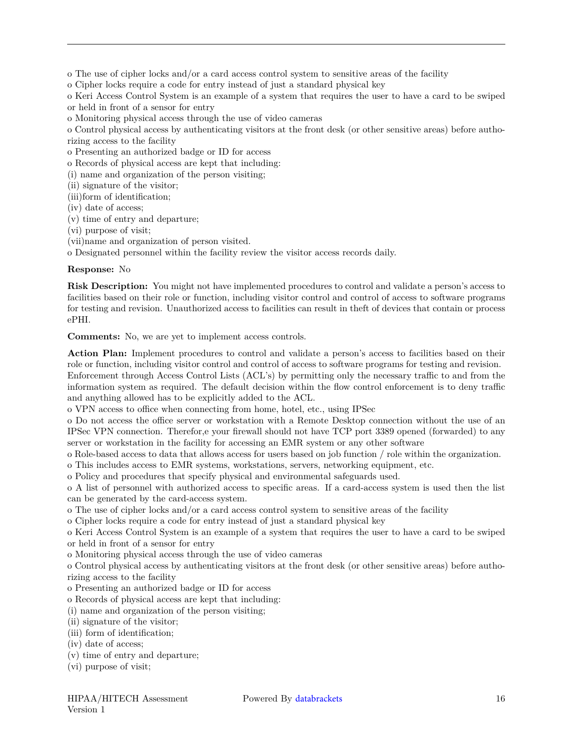o The use of cipher locks and/or a card access control system to sensitive areas of the facility

o Cipher locks require a code for entry instead of just a standard physical key

o Keri Access Control System is an example of a system that requires the user to have a card to be swiped or held in front of a sensor for entry

o Monitoring physical access through the use of video cameras

o Control physical access by authenticating visitors at the front desk (or other sensitive areas) before authorizing access to the facility

o Presenting an authorized badge or ID for access

o Records of physical access are kept that including:

(i) name and organization of the person visiting;

(ii) signature of the visitor;

(iii)form of identification;

(iv) date of access;

(v) time of entry and departure;

(vi) purpose of visit;

(vii)name and organization of person visited.

o Designated personnel within the facility review the visitor access records daily.

#### **Response:** No

**Risk Description:** You might not have implemented procedures to control and validate a person's access to facilities based on their role or function, including visitor control and control of access to software programs for testing and revision. Unauthorized access to facilities can result in theft of devices that contain or process ePHI.

**Comments:** No, we are yet to implement access controls.

**Action Plan:** Implement procedures to control and validate a person's access to facilities based on their role or function, including visitor control and control of access to software programs for testing and revision.

Enforcement through Access Control Lists (ACL's) by permitting only the necessary traffic to and from the information system as required. The default decision within the flow control enforcement is to deny traffic and anything allowed has to be explicitly added to the ACL.

o VPN access to office when connecting from home, hotel, etc., using IPSec

o Do not access the office server or workstation with a Remote Desktop connection without the use of an IPSec VPN connection. Therefor,e your firewall should not have TCP port 3389 opened (forwarded) to any server or workstation in the facility for accessing an EMR system or any other software

o Role-based access to data that allows access for users based on job function / role within the organization.

o This includes access to EMR systems, workstations, servers, networking equipment, etc.

o Policy and procedures that specify physical and environmental safeguards used.

o A list of personnel with authorized access to specific areas. If a card-access system is used then the list can be generated by the card-access system.

o The use of cipher locks and/or a card access control system to sensitive areas of the facility

o Cipher locks require a code for entry instead of just a standard physical key

o Keri Access Control System is an example of a system that requires the user to have a card to be swiped or held in front of a sensor for entry

o Monitoring physical access through the use of video cameras

o Control physical access by authenticating visitors at the front desk (or other sensitive areas) before authorizing access to the facility

o Presenting an authorized badge or ID for access

o Records of physical access are kept that including:

(i) name and organization of the person visiting;

- (ii) signature of the visitor;
- (iii) form of identification;
- (iv) date of access;
- (v) time of entry and departure;
- (vi) purpose of visit;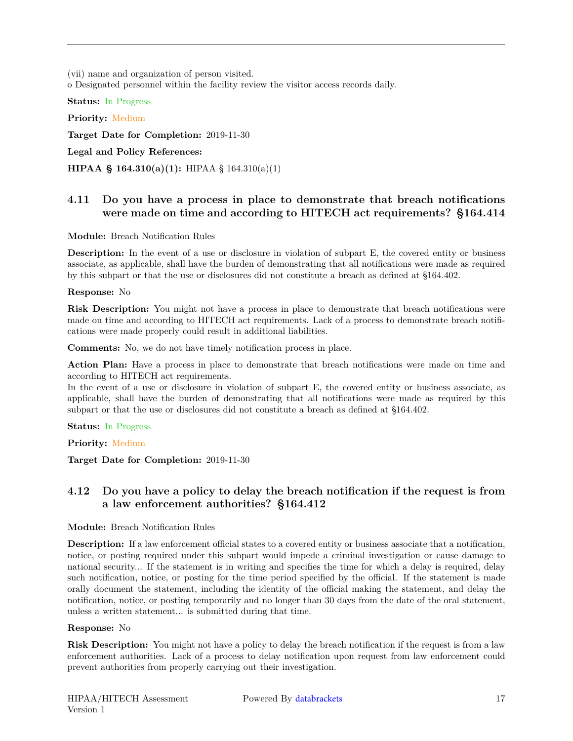(vii) name and organization of person visited. o Designated personnel within the facility review the visitor access records daily.

**Status:** In Progress

**Priority:** Medium **Target Date for Completion:** 2019-11-30

**Legal and Policy References:**

<span id="page-16-0"></span>**HIPAA § 164.310(a)(1):** HIPAA § 164.310(a)(1)

## **4.11 Do you have a process in place to demonstrate that breach notifications were made on time and according to HITECH act requirements? §164.414**

#### **Module:** Breach Notification Rules

**Description:** In the event of a use or disclosure in violation of subpart E, the covered entity or business associate, as applicable, shall have the burden of demonstrating that all notifications were made as required by this subpart or that the use or disclosures did not constitute a breach as defined at §164.402.

#### **Response:** No

**Risk Description:** You might not have a process in place to demonstrate that breach notifications were made on time and according to HITECH act requirements. Lack of a process to demonstrate breach notifications were made properly could result in additional liabilities.

**Comments:** No, we do not have timely notification process in place.

**Action Plan:** Have a process in place to demonstrate that breach notifications were made on time and according to HITECH act requirements.

In the event of a use or disclosure in violation of subpart E, the covered entity or business associate, as applicable, shall have the burden of demonstrating that all notifications were made as required by this subpart or that the use or disclosures did not constitute a breach as defined at §164.402.

**Status:** In Progress

**Priority:** Medium

<span id="page-16-1"></span>**Target Date for Completion:** 2019-11-30

## **4.12 Do you have a policy to delay the breach notification if the request is from a law enforcement authorities? §164.412**

#### **Module:** Breach Notification Rules

**Description:** If a law enforcement official states to a covered entity or business associate that a notification, notice, or posting required under this subpart would impede a criminal investigation or cause damage to national security... If the statement is in writing and specifies the time for which a delay is required, delay such notification, notice, or posting for the time period specified by the official. If the statement is made orally document the statement, including the identity of the official making the statement, and delay the notification, notice, or posting temporarily and no longer than 30 days from the date of the oral statement, unless a written statement... is submitted during that time.

#### **Response:** No

**Risk Description:** You might not have a policy to delay the breach notification if the request is from a law enforcement authorities. Lack of a process to delay notification upon request from law enforcement could prevent authorities from properly carrying out their investigation.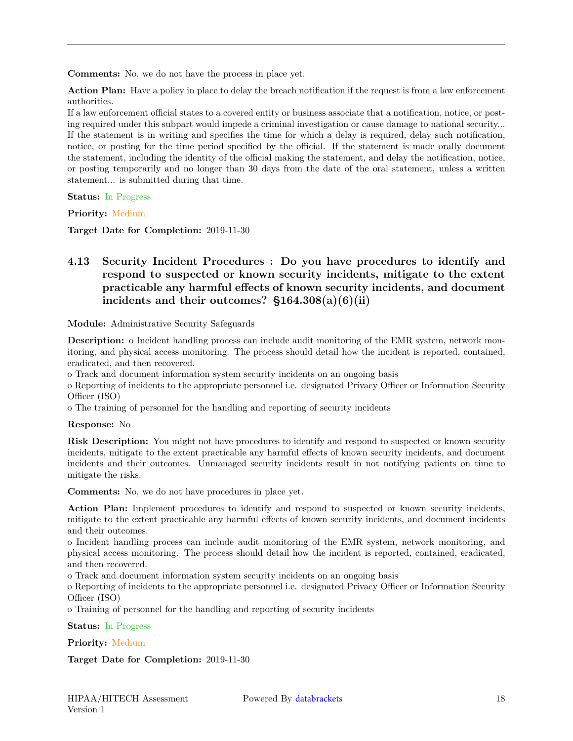**Comments:** No, we do not have the process in place yet.

**Action Plan:** Have a policy in place to delay the breach notification if the request is from a law enforcement authorities.

If a law enforcement official states to a covered entity or business associate that a notification, notice, or posting required under this subpart would impede a criminal investigation or cause damage to national security... If the statement is in writing and specifies the time for which a delay is required, delay such notification, notice, or posting for the time period specified by the official. If the statement is made orally document the statement, including the identity of the official making the statement, and delay the notification, notice, or posting temporarily and no longer than 30 days from the date of the oral statement, unless a written statement... is submitted during that time.

**Status:** In Progress

**Priority:** Medium

<span id="page-17-0"></span>**Target Date for Completion:** 2019-11-30

## **4.13 Security Incident Procedures : Do you have procedures to identify and respond to suspected or known security incidents, mitigate to the extent practicable any harmful effects of known security incidents, and document incidents and their outcomes? §164.308(a)(6)(ii)**

**Module:** Administrative Security Safeguards

**Description:** o Incident handling process can include audit monitoring of the EMR system, network monitoring, and physical access monitoring. The process should detail how the incident is reported, contained, eradicated, and then recovered.

o Track and document information system security incidents on an ongoing basis

o Reporting of incidents to the appropriate personnel i.e. designated Privacy Officer or Information Security Officer (ISO)

o The training of personnel for the handling and reporting of security incidents

#### **Response:** No

**Risk Description:** You might not have procedures to identify and respond to suspected or known security incidents, mitigate to the extent practicable any harmful effects of known security incidents, and document incidents and their outcomes. Unmanaged security incidents result in not notifying patients on time to mitigate the risks.

**Comments:** No, we do not have procedures in place yet.

**Action Plan:** Implement procedures to identify and respond to suspected or known security incidents, mitigate to the extent practicable any harmful effects of known security incidents, and document incidents and their outcomes.

o Incident handling process can include audit monitoring of the EMR system, network monitoring, and physical access monitoring. The process should detail how the incident is reported, contained, eradicated, and then recovered.

o Track and document information system security incidents on an ongoing basis

o Reporting of incidents to the appropriate personnel i.e. designated Privacy Officer or Information Security Officer (ISO)

o Training of personnel for the handling and reporting of security incidents

**Status:** In Progress

**Priority:** Medium

**Target Date for Completion:** 2019-11-30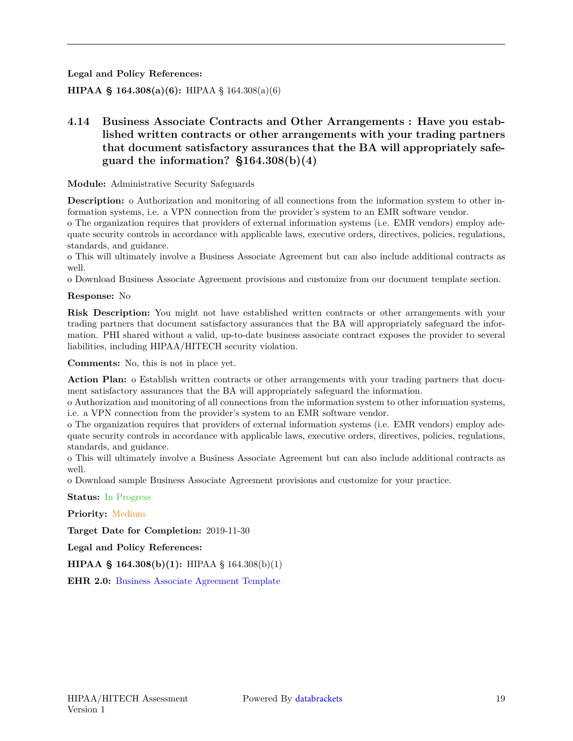**Legal and Policy References:**

<span id="page-18-0"></span>**HIPAA § 164.308(a)(6):** HIPAA § 164.308(a)(6)

## **4.14 Business Associate Contracts and Other Arrangements : Have you established written contracts or other arrangements with your trading partners that document satisfactory assurances that the BA will appropriately safeguard the information? §164.308(b)(4)**

**Module:** Administrative Security Safeguards

**Description:** o Authorization and monitoring of all connections from the information system to other information systems, i.e. a VPN connection from the provider's system to an EMR software vendor.

o The organization requires that providers of external information systems (i.e. EMR vendors) employ adequate security controls in accordance with applicable laws, executive orders, directives, policies, regulations, standards, and guidance.

o This will ultimately involve a Business Associate Agreement but can also include additional contracts as well.

o Download Business Associate Agreement provisions and customize from our document template section.

#### **Response:** No

**Risk Description:** You might not have established written contracts or other arrangements with your trading partners that document satisfactory assurances that the BA will appropriately safeguard the information. PHI shared without a valid, up-to-date business associate contract exposes the provider to several liabilities, including HIPAA/HITECH security violation.

**Comments:** No, this is not in place yet.

**Action Plan:** o Establish written contracts or other arrangements with your trading partners that document satisfactory assurances that the BA will appropriately safeguard the information.

o Authorization and monitoring of all connections from the information system to other information systems, i.e. a VPN connection from the provider's system to an EMR software vendor.

o The organization requires that providers of external information systems (i.e. EMR vendors) employ adequate security controls in accordance with applicable laws, executive orders, directives, policies, regulations, standards, and guidance.

o This will ultimately involve a Business Associate Agreement but can also include additional contracts as well.

o Download sample Business Associate Agreement provisions and customize for your practice.

**Status:** In Progress

**Priority:** Medium

**Target Date for Completion:** 2019-11-30

**Legal and Policy References:**

**HIPAA § 164.308(b)(1):** HIPAA § 164.308(b)(1)

<span id="page-18-1"></span>**EHR 2.0:** [Business Associate Agreement Template](http://ehr20.com/online{-}toolkit/Business{-}Associate{-}Agreement{-}Template.docx)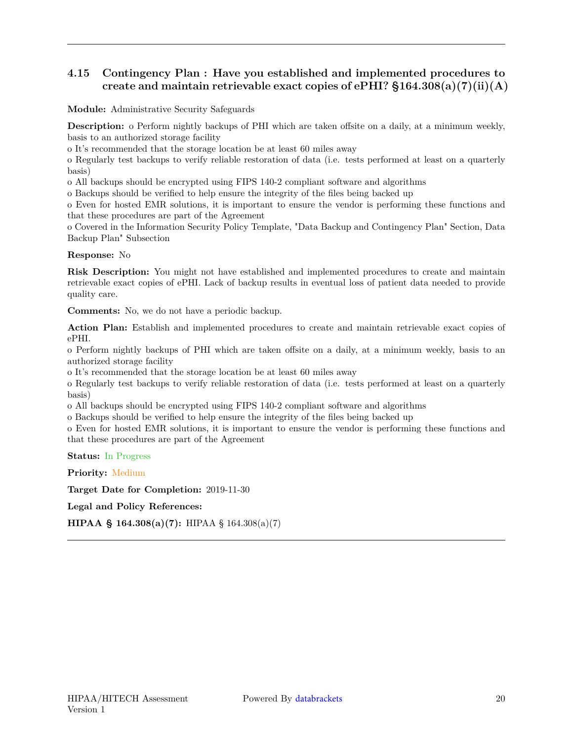## **4.15 Contingency Plan : Have you established and implemented procedures to** create and maintain retrievable exact copies of ePHI?  $$164.308(a)(7)(ii)(A)$

**Module:** Administrative Security Safeguards

**Description:** o Perform nightly backups of PHI which are taken offsite on a daily, at a minimum weekly, basis to an authorized storage facility

o It's recommended that the storage location be at least 60 miles away

o Regularly test backups to verify reliable restoration of data (i.e. tests performed at least on a quarterly basis)

o All backups should be encrypted using FIPS 140-2 compliant software and algorithms

o Backups should be verified to help ensure the integrity of the files being backed up

o Even for hosted EMR solutions, it is important to ensure the vendor is performing these functions and that these procedures are part of the Agreement

o Covered in the Information Security Policy Template, "Data Backup and Contingency Plan" Section, Data Backup Plan" Subsection

**Response:** No

**Risk Description:** You might not have established and implemented procedures to create and maintain retrievable exact copies of ePHI. Lack of backup results in eventual loss of patient data needed to provide quality care.

**Comments:** No, we do not have a periodic backup.

**Action Plan:** Establish and implemented procedures to create and maintain retrievable exact copies of ePHI.

o Perform nightly backups of PHI which are taken offsite on a daily, at a minimum weekly, basis to an authorized storage facility

o It's recommended that the storage location be at least 60 miles away

o Regularly test backups to verify reliable restoration of data (i.e. tests performed at least on a quarterly basis)

o All backups should be encrypted using FIPS 140-2 compliant software and algorithms

o Backups should be verified to help ensure the integrity of the files being backed up

o Even for hosted EMR solutions, it is important to ensure the vendor is performing these functions and that these procedures are part of the Agreement

**Status:** In Progress

**Priority:** Medium

**Target Date for Completion:** 2019-11-30

**Legal and Policy References:**

<span id="page-19-0"></span>**HIPAA § 164.308(a)(7):** HIPAA § 164.308(a)(7)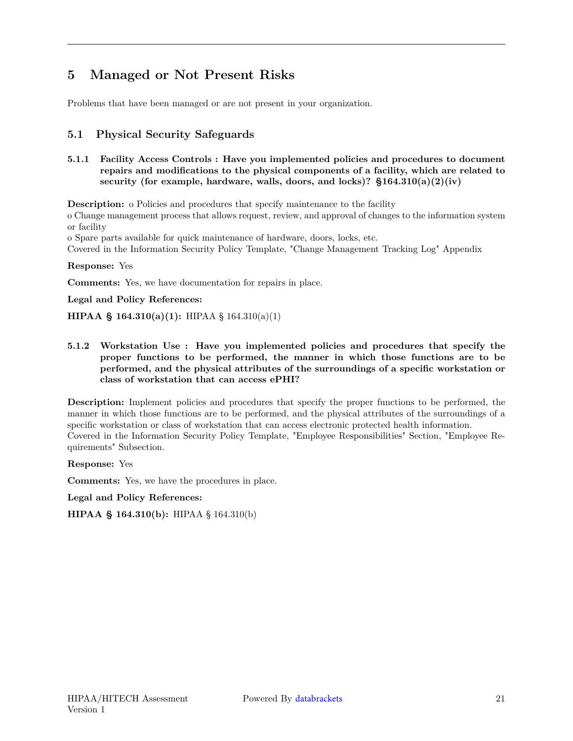## **5 Managed or Not Present Risks**

<span id="page-20-0"></span>Problems that have been managed or are not present in your organization.

### **5.1 Physical Security Safeguards**

**5.1.1 Facility Access Controls : Have you implemented policies and procedures to document repairs and modifications to the physical components of a facility, which are related to** security (for example, hardware, walls, doors, and locks)?  $$164.310(a)(2)(iv)$ 

**Description:** o Policies and procedures that specify maintenance to the facility

o Change management process that allows request, review, and approval of changes to the information system or facility

o Spare parts available for quick maintenance of hardware, doors, locks, etc.

Covered in the Information Security Policy Template, "Change Management Tracking Log" Appendix

**Response:** Yes

**Comments:** Yes, we have documentation for repairs in place.

**Legal and Policy References:**

**HIPAA § 164.310(a)(1):** HIPAA § 164.310(a)(1)

**5.1.2 Workstation Use : Have you implemented policies and procedures that specify the proper functions to be performed, the manner in which those functions are to be performed, and the physical attributes of the surroundings of a specific workstation or class of workstation that can access ePHI?**

**Description:** Implement policies and procedures that specify the proper functions to be performed, the manner in which those functions are to be performed, and the physical attributes of the surroundings of a specific workstation or class of workstation that can access electronic protected health information. Covered in the Information Security Policy Template, "Employee Responsibilities" Section, "Employee Requirements" Subsection.

**Response:** Yes

**Comments:** Yes, we have the procedures in place.

**Legal and Policy References:**

**HIPAA § 164.310(b):** HIPAA § 164.310(b)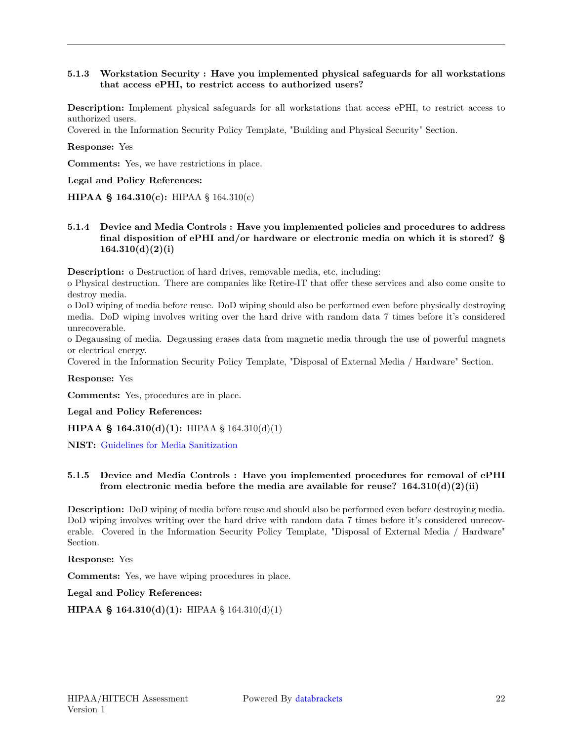#### **5.1.3 Workstation Security : Have you implemented physical safeguards for all workstations that access ePHI, to restrict access to authorized users?**

**Description:** Implement physical safeguards for all workstations that access ePHI, to restrict access to authorized users.

Covered in the Information Security Policy Template, "Building and Physical Security" Section.

**Response:** Yes

**Comments:** Yes, we have restrictions in place.

**Legal and Policy References:**

**HIPAA § 164.310(c):** HIPAA § 164.310(c)

**5.1.4 Device and Media Controls : Have you implemented policies and procedures to address final disposition of ePHI and/or hardware or electronic media on which it is stored? § 164.310(d)(2)(i)**

**Description:** o Destruction of hard drives, removable media, etc, including:

o Physical destruction. There are companies like Retire-IT that offer these services and also come onsite to destroy media.

o DoD wiping of media before reuse. DoD wiping should also be performed even before physically destroying media. DoD wiping involves writing over the hard drive with random data 7 times before it's considered unrecoverable.

o Degaussing of media. Degaussing erases data from magnetic media through the use of powerful magnets or electrical energy.

Covered in the Information Security Policy Template, "Disposal of External Media / Hardware" Section.

**Response:** Yes

**Comments:** Yes, procedures are in place.

**Legal and Policy References:**

**HIPAA § 164.310(d)(1):** HIPAA § 164.310(d)(1)

**NIST:** [Guidelines for Media Sanitization](http://nvlpubs.nist.gov/nistpubs/SpecialPublications/NIST.SP.800{-}88r1.pdf)

#### **5.1.5 Device and Media Controls : Have you implemented procedures for removal of ePHI from electronic media before the media are available for reuse? 164.310(d)(2)(ii)**

**Description:** DoD wiping of media before reuse and should also be performed even before destroying media. DoD wiping involves writing over the hard drive with random data 7 times before it's considered unrecoverable. Covered in the Information Security Policy Template, "Disposal of External Media / Hardware" Section.

**Response:** Yes

**Comments:** Yes, we have wiping procedures in place.

**Legal and Policy References:**

**HIPAA § 164.310(d)(1):** HIPAA § 164.310(d)(1)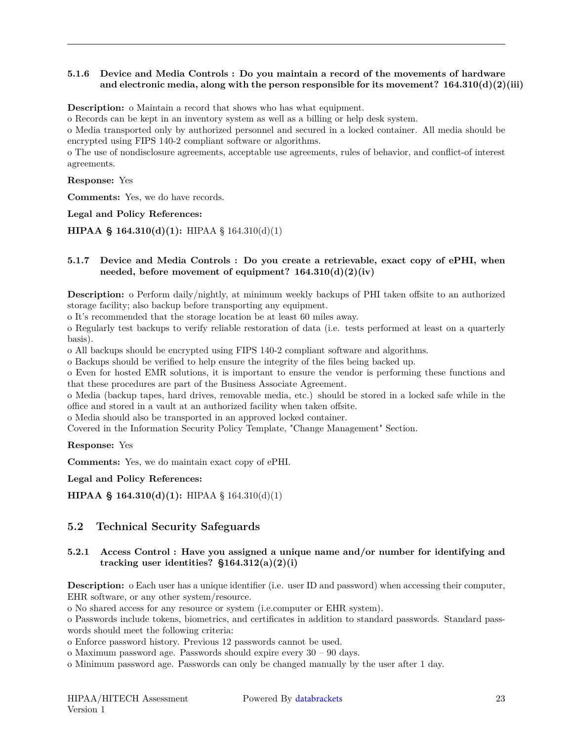#### **5.1.6 Device and Media Controls : Do you maintain a record of the movements of hardware** and electronic media, along with the person responsible for its movement?  $164.310(d)(2)(iii)$

**Description:** o Maintain a record that shows who has what equipment.

o Records can be kept in an inventory system as well as a billing or help desk system.

o Media transported only by authorized personnel and secured in a locked container. All media should be encrypted using FIPS 140-2 compliant software or algorithms.

o The use of nondisclosure agreements, acceptable use agreements, rules of behavior, and conflict-of interest agreements.

**Response:** Yes

**Comments:** Yes, we do have records.

**Legal and Policy References:**

**HIPAA § 164.310(d)(1):** HIPAA § 164.310(d)(1)

#### **5.1.7 Device and Media Controls : Do you create a retrievable, exact copy of ePHI, when needed, before movement of equipment? 164.310(d)(2)(iv)**

**Description:** o Perform daily/nightly, at minimum weekly backups of PHI taken offsite to an authorized storage facility; also backup before transporting any equipment.

o It's recommended that the storage location be at least 60 miles away.

o Regularly test backups to verify reliable restoration of data (i.e. tests performed at least on a quarterly basis).

o All backups should be encrypted using FIPS 140-2 compliant software and algorithms.

o Backups should be verified to help ensure the integrity of the files being backed up.

o Even for hosted EMR solutions, it is important to ensure the vendor is performing these functions and that these procedures are part of the Business Associate Agreement.

o Media (backup tapes, hard drives, removable media, etc.) should be stored in a locked safe while in the office and stored in a vault at an authorized facility when taken offsite.

o Media should also be transported in an approved locked container.

Covered in the Information Security Policy Template, "Change Management" Section.

**Response:** Yes

**Comments:** Yes, we do maintain exact copy of ePHI.

**Legal and Policy References:**

<span id="page-22-0"></span>**HIPAA § 164.310(d)(1):** HIPAA § 164.310(d)(1)

#### **5.2 Technical Security Safeguards**

#### **5.2.1 Access Control : Have you assigned a unique name and/or number for identifying and tracking user identities? §164.312(a)(2)(i)**

**Description:** o Each user has a unique identifier (i.e. user ID and password) when accessing their computer, EHR software, or any other system/resource.

o No shared access for any resource or system (i.e.computer or EHR system).

o Passwords include tokens, biometrics, and certificates in addition to standard passwords. Standard passwords should meet the following criteria:

o Enforce password history. Previous 12 passwords cannot be used.

o Maximum password age. Passwords should expire every 30 – 90 days.

o Minimum password age. Passwords can only be changed manually by the user after 1 day.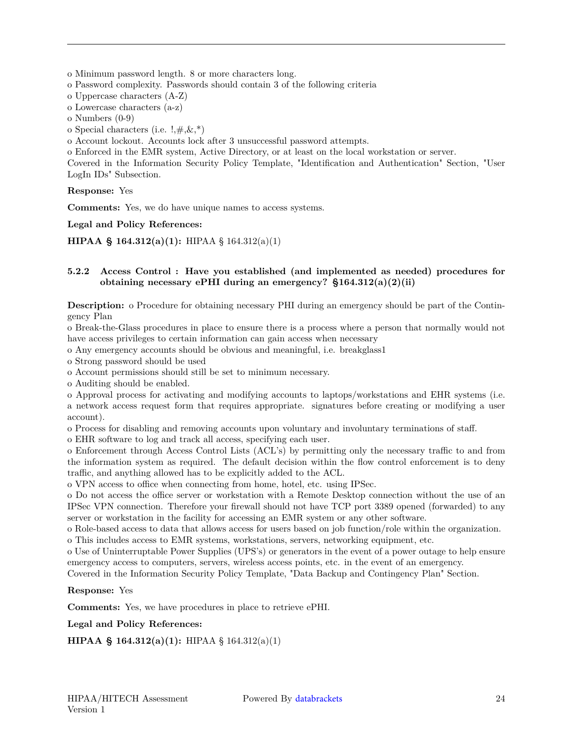o Minimum password length. 8 or more characters long.

o Password complexity. Passwords should contain 3 of the following criteria

o Uppercase characters (A-Z)

o Lowercase characters (a-z)

o Numbers (0-9)

o Special characters (i.e.  $!, \#,\&, *\$ )

o Account lockout. Accounts lock after 3 unsuccessful password attempts.

o Enforced in the EMR system, Active Directory, or at least on the local workstation or server.

Covered in the Information Security Policy Template, "Identification and Authentication" Section, "User LogIn IDs" Subsection.

**Response:** Yes

**Comments:** Yes, we do have unique names to access systems.

**Legal and Policy References:**

**HIPAA § 164.312(a)(1):** HIPAA § 164.312(a)(1)

#### **5.2.2 Access Control : Have you established (and implemented as needed) procedures for obtaining necessary ePHI during an emergency? §164.312(a)(2)(ii)**

**Description:** o Procedure for obtaining necessary PHI during an emergency should be part of the Contingency Plan

o Break-the-Glass procedures in place to ensure there is a process where a person that normally would not have access privileges to certain information can gain access when necessary

o Any emergency accounts should be obvious and meaningful, i.e. breakglass1

o Strong password should be used

o Account permissions should still be set to minimum necessary.

o Auditing should be enabled.

o Approval process for activating and modifying accounts to laptops/workstations and EHR systems (i.e. a network access request form that requires appropriate. signatures before creating or modifying a user account).

o Process for disabling and removing accounts upon voluntary and involuntary terminations of staff.

o EHR software to log and track all access, specifying each user.

o Enforcement through Access Control Lists (ACL's) by permitting only the necessary traffic to and from the information system as required. The default decision within the flow control enforcement is to deny traffic, and anything allowed has to be explicitly added to the ACL.

o VPN access to office when connecting from home, hotel, etc. using IPSec.

o Do not access the office server or workstation with a Remote Desktop connection without the use of an IPSec VPN connection. Therefore your firewall should not have TCP port 3389 opened (forwarded) to any server or workstation in the facility for accessing an EMR system or any other software.

o Role-based access to data that allows access for users based on job function/role within the organization. o This includes access to EMR systems, workstations, servers, networking equipment, etc.

o Use of Uninterruptable Power Supplies (UPS's) or generators in the event of a power outage to help ensure emergency access to computers, servers, wireless access points, etc. in the event of an emergency.

Covered in the Information Security Policy Template, "Data Backup and Contingency Plan" Section.

#### **Response:** Yes

**Comments:** Yes, we have procedures in place to retrieve ePHI.

#### **Legal and Policy References:**

**HIPAA § 164.312(a)(1):** HIPAA § 164.312(a)(1)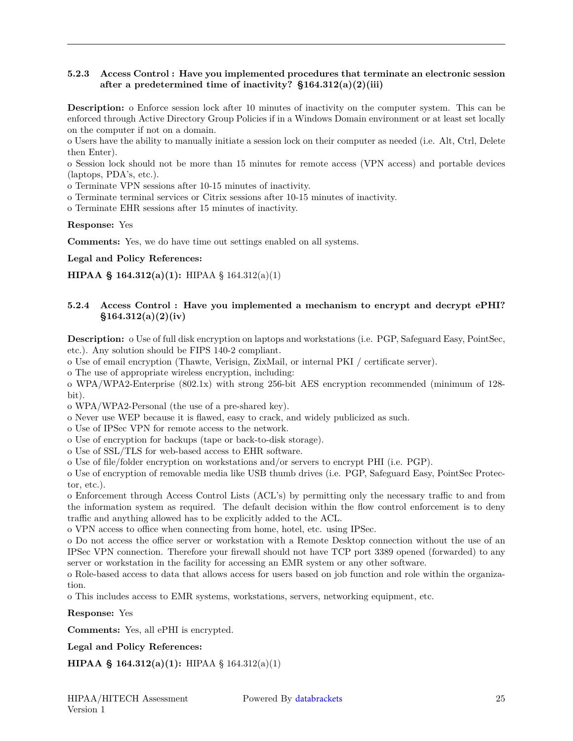#### **5.2.3 Access Control : Have you implemented procedures that terminate an electronic session after a predetermined time of inactivity? §164.312(a)(2)(iii)**

**Description:** o Enforce session lock after 10 minutes of inactivity on the computer system. This can be enforced through Active Directory Group Policies if in a Windows Domain environment or at least set locally on the computer if not on a domain.

o Users have the ability to manually initiate a session lock on their computer as needed (i.e. Alt, Ctrl, Delete then Enter).

o Session lock should not be more than 15 minutes for remote access (VPN access) and portable devices (laptops, PDA's, etc.).

o Terminate VPN sessions after 10-15 minutes of inactivity.

o Terminate terminal services or Citrix sessions after 10-15 minutes of inactivity.

o Terminate EHR sessions after 15 minutes of inactivity.

**Response:** Yes

**Comments:** Yes, we do have time out settings enabled on all systems.

**Legal and Policy References:**

**HIPAA § 164.312(a)(1):** HIPAA § 164.312(a)(1)

#### **5.2.4 Access Control : Have you implemented a mechanism to encrypt and decrypt ePHI? §164.312(a)(2)(iv)**

**Description:** o Use of full disk encryption on laptops and workstations (i.e. PGP, Safeguard Easy, PointSec, etc.). Any solution should be FIPS 140-2 compliant.

o Use of email encryption (Thawte, Verisign, ZixMail, or internal PKI / certificate server).

o The use of appropriate wireless encryption, including:

o WPA/WPA2-Enterprise (802.1x) with strong 256-bit AES encryption recommended (minimum of 128 bit).

o WPA/WPA2-Personal (the use of a pre-shared key).

o Never use WEP because it is flawed, easy to crack, and widely publicized as such.

o Use of IPSec VPN for remote access to the network.

o Use of encryption for backups (tape or back-to-disk storage).

o Use of SSL/TLS for web-based access to EHR software.

o Use of file/folder encryption on workstations and/or servers to encrypt PHI (i.e. PGP).

o Use of encryption of removable media like USB thumb drives (i.e. PGP, Safeguard Easy, PointSec Protector, etc.).

o Enforcement through Access Control Lists (ACL's) by permitting only the necessary traffic to and from the information system as required. The default decision within the flow control enforcement is to deny traffic and anything allowed has to be explicitly added to the ACL.

o VPN access to office when connecting from home, hotel, etc. using IPSec.

o Do not access the office server or workstation with a Remote Desktop connection without the use of an IPSec VPN connection. Therefore your firewall should not have TCP port 3389 opened (forwarded) to any server or workstation in the facility for accessing an EMR system or any other software.

o Role-based access to data that allows access for users based on job function and role within the organization.

o This includes access to EMR systems, workstations, servers, networking equipment, etc.

**Response:** Yes

**Comments:** Yes, all ePHI is encrypted.

**Legal and Policy References:**

**HIPAA § 164.312(a)(1):** HIPAA § 164.312(a)(1)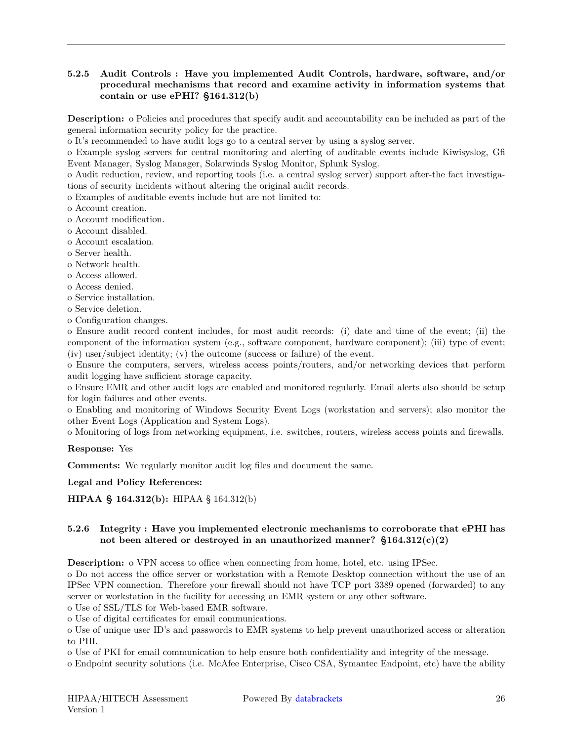#### **5.2.5 Audit Controls : Have you implemented Audit Controls, hardware, software, and/or procedural mechanisms that record and examine activity in information systems that contain or use ePHI? §164.312(b)**

**Description:** o Policies and procedures that specify audit and accountability can be included as part of the general information security policy for the practice.

o It's recommended to have audit logs go to a central server by using a syslog server.

o Example syslog servers for central monitoring and alerting of auditable events include Kiwisyslog, Gfi Event Manager, Syslog Manager, Solarwinds Syslog Monitor, Splunk Syslog.

o Audit reduction, review, and reporting tools (i.e. a central syslog server) support after-the fact investigations of security incidents without altering the original audit records.

o Examples of auditable events include but are not limited to:

o Account creation.

o Account modification.

o Account disabled.

- o Account escalation.
- o Server health.
- o Network health.
- o Access allowed.
- o Access denied.
- o Service installation.
- o Service deletion.
- o Configuration changes.

o Ensure audit record content includes, for most audit records: (i) date and time of the event; (ii) the component of the information system (e.g., software component, hardware component); (iii) type of event; (iv) user/subject identity; (v) the outcome (success or failure) of the event.

o Ensure the computers, servers, wireless access points/routers, and/or networking devices that perform audit logging have sufficient storage capacity.

o Ensure EMR and other audit logs are enabled and monitored regularly. Email alerts also should be setup for login failures and other events.

o Enabling and monitoring of Windows Security Event Logs (workstation and servers); also monitor the other Event Logs (Application and System Logs).

o Monitoring of logs from networking equipment, i.e. switches, routers, wireless access points and firewalls.

**Response:** Yes

**Comments:** We regularly monitor audit log files and document the same.

**Legal and Policy References:**

**HIPAA § 164.312(b):** HIPAA § 164.312(b)

#### **5.2.6 Integrity : Have you implemented electronic mechanisms to corroborate that ePHI has not been altered or destroyed in an unauthorized manner? §164.312(c)(2)**

**Description:** o VPN access to office when connecting from home, hotel, etc. using IPSec.

o Do not access the office server or workstation with a Remote Desktop connection without the use of an IPSec VPN connection. Therefore your firewall should not have TCP port 3389 opened (forwarded) to any server or workstation in the facility for accessing an EMR system or any other software.

o Use of SSL/TLS for Web-based EMR software.

o Use of digital certificates for email communications.

o Use of unique user ID's and passwords to EMR systems to help prevent unauthorized access or alteration to PHI.

o Use of PKI for email communication to help ensure both confidentiality and integrity of the message.

o Endpoint security solutions (i.e. McAfee Enterprise, Cisco CSA, Symantec Endpoint, etc) have the ability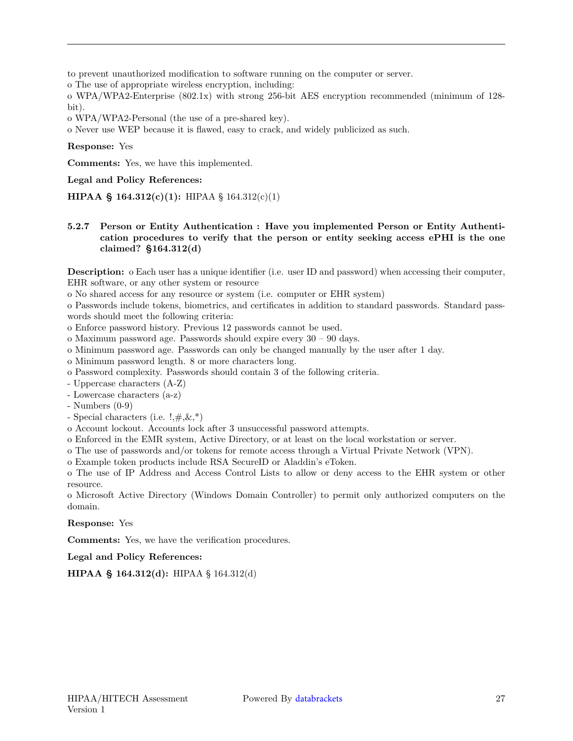to prevent unauthorized modification to software running on the computer or server.

o The use of appropriate wireless encryption, including:

o WPA/WPA2-Enterprise (802.1x) with strong 256-bit AES encryption recommended (minimum of 128 bit).

o WPA/WPA2-Personal (the use of a pre-shared key).

o Never use WEP because it is flawed, easy to crack, and widely publicized as such.

**Response:** Yes

**Comments:** Yes, we have this implemented.

**Legal and Policy References:**

**HIPAA § 164.312(c)(1):** HIPAA § 164.312(c)(1)

#### **5.2.7 Person or Entity Authentication : Have you implemented Person or Entity Authentication procedures to verify that the person or entity seeking access ePHI is the one claimed? §164.312(d)**

**Description:** o Each user has a unique identifier (i.e. user ID and password) when accessing their computer, EHR software, or any other system or resource

o No shared access for any resource or system (i.e. computer or EHR system)

o Passwords include tokens, biometrics, and certificates in addition to standard passwords. Standard passwords should meet the following criteria:

o Enforce password history. Previous 12 passwords cannot be used.

o Maximum password age. Passwords should expire every 30 – 90 days.

o Minimum password age. Passwords can only be changed manually by the user after 1 day.

o Minimum password length. 8 or more characters long.

o Password complexity. Passwords should contain 3 of the following criteria.

- Uppercase characters (A-Z)

- Lowercase characters (a-z)

- Numbers (0-9)

- Special characters (i.e.  $!, \nexists, \&, *$ )

o Account lockout. Accounts lock after 3 unsuccessful password attempts.

o Enforced in the EMR system, Active Directory, or at least on the local workstation or server.

o The use of passwords and/or tokens for remote access through a Virtual Private Network (VPN).

o Example token products include RSA SecureID or Aladdin's eToken.

o The use of IP Address and Access Control Lists to allow or deny access to the EHR system or other resource.

o Microsoft Active Directory (Windows Domain Controller) to permit only authorized computers on the domain.

**Response:** Yes

**Comments:** Yes, we have the verification procedures.

**Legal and Policy References:**

**HIPAA § 164.312(d):** HIPAA § 164.312(d)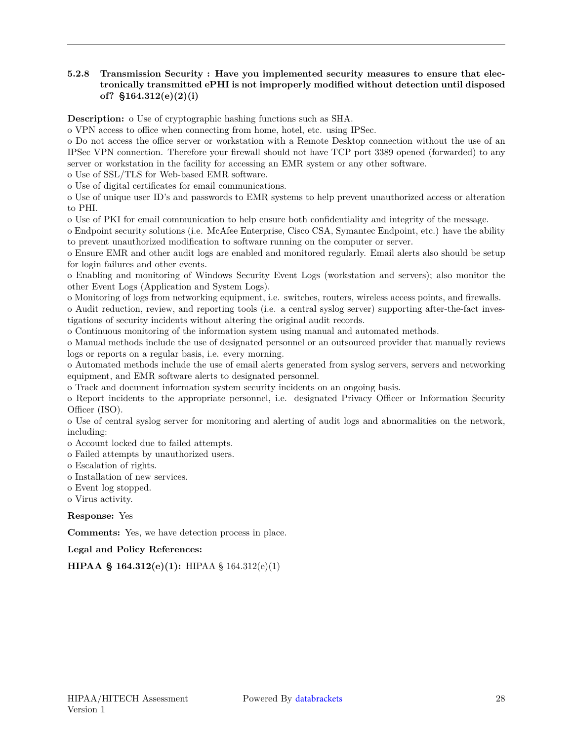#### **5.2.8 Transmission Security : Have you implemented security measures to ensure that electronically transmitted ePHI is not improperly modified without detection until disposed of? §164.312(e)(2)(i)**

**Description:** o Use of cryptographic hashing functions such as SHA.

o VPN access to office when connecting from home, hotel, etc. using IPSec.

o Do not access the office server or workstation with a Remote Desktop connection without the use of an IPSec VPN connection. Therefore your firewall should not have TCP port 3389 opened (forwarded) to any server or workstation in the facility for accessing an EMR system or any other software.

o Use of SSL/TLS for Web-based EMR software.

o Use of digital certificates for email communications.

o Use of unique user ID's and passwords to EMR systems to help prevent unauthorized access or alteration to PHI.

o Use of PKI for email communication to help ensure both confidentiality and integrity of the message.

o Endpoint security solutions (i.e. McAfee Enterprise, Cisco CSA, Symantec Endpoint, etc.) have the ability to prevent unauthorized modification to software running on the computer or server.

o Ensure EMR and other audit logs are enabled and monitored regularly. Email alerts also should be setup for login failures and other events.

o Enabling and monitoring of Windows Security Event Logs (workstation and servers); also monitor the other Event Logs (Application and System Logs).

o Monitoring of logs from networking equipment, i.e. switches, routers, wireless access points, and firewalls.

o Audit reduction, review, and reporting tools (i.e. a central syslog server) supporting after-the-fact investigations of security incidents without altering the original audit records.

o Continuous monitoring of the information system using manual and automated methods.

o Manual methods include the use of designated personnel or an outsourced provider that manually reviews logs or reports on a regular basis, i.e. every morning.

o Automated methods include the use of email alerts generated from syslog servers, servers and networking equipment, and EMR software alerts to designated personnel.

o Track and document information system security incidents on an ongoing basis.

o Report incidents to the appropriate personnel, i.e. designated Privacy Officer or Information Security Officer (ISO).

o Use of central syslog server for monitoring and alerting of audit logs and abnormalities on the network, including:

o Account locked due to failed attempts.

o Failed attempts by unauthorized users.

o Escalation of rights.

- o Installation of new services.
- o Event log stopped.
- o Virus activity.

**Response:** Yes

**Comments:** Yes, we have detection process in place.

**Legal and Policy References:**

**HIPAA § 164.312(e)(1):** HIPAA § 164.312(e)(1)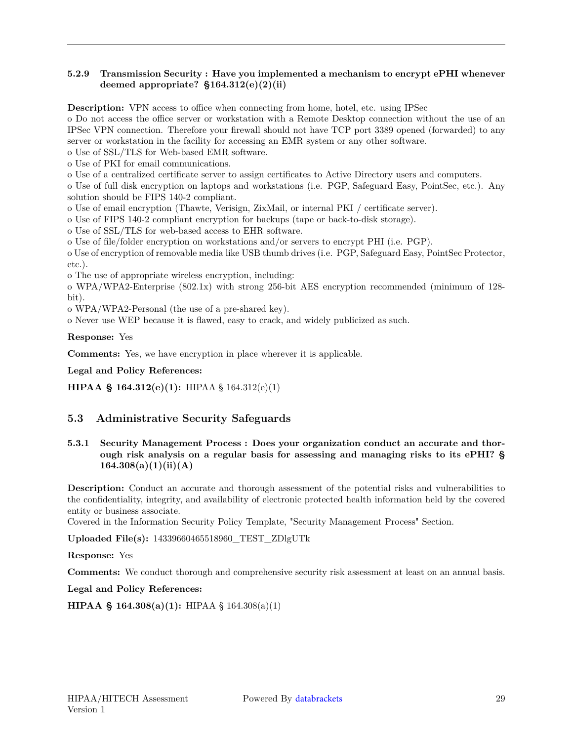#### **5.2.9 Transmission Security : Have you implemented a mechanism to encrypt ePHI whenever deemed appropriate? §164.312(e)(2)(ii)**

**Description:** VPN access to office when connecting from home, hotel, etc. using IPSec

o Do not access the office server or workstation with a Remote Desktop connection without the use of an IPSec VPN connection. Therefore your firewall should not have TCP port 3389 opened (forwarded) to any server or workstation in the facility for accessing an EMR system or any other software.

o Use of SSL/TLS for Web-based EMR software.

o Use of PKI for email communications.

o Use of a centralized certificate server to assign certificates to Active Directory users and computers.

o Use of full disk encryption on laptops and workstations (i.e. PGP, Safeguard Easy, PointSec, etc.). Any solution should be FIPS 140-2 compliant.

o Use of email encryption (Thawte, Verisign, ZixMail, or internal PKI / certificate server).

o Use of FIPS 140-2 compliant encryption for backups (tape or back-to-disk storage).

o Use of SSL/TLS for web-based access to EHR software.

o Use of file/folder encryption on workstations and/or servers to encrypt PHI (i.e. PGP).

o Use of encryption of removable media like USB thumb drives (i.e. PGP, Safeguard Easy, PointSec Protector, etc.).

o The use of appropriate wireless encryption, including:

o WPA/WPA2-Enterprise (802.1x) with strong 256-bit AES encryption recommended (minimum of 128 bit).

o WPA/WPA2-Personal (the use of a pre-shared key).

o Never use WEP because it is flawed, easy to crack, and widely publicized as such.

**Response:** Yes

**Comments:** Yes, we have encryption in place wherever it is applicable.

**Legal and Policy References:**

<span id="page-28-0"></span>**HIPAA § 164.312(e)(1):** HIPAA § 164.312(e)(1)

#### **5.3 Administrative Security Safeguards**

**5.3.1 Security Management Process : Does your organization conduct an accurate and thorough risk analysis on a regular basis for assessing and managing risks to its ePHI? § 164.308(a)(1)(ii)(A)**

**Description:** Conduct an accurate and thorough assessment of the potential risks and vulnerabilities to the confidentiality, integrity, and availability of electronic protected health information held by the covered entity or business associate.

Covered in the Information Security Policy Template, "Security Management Process" Section.

**Uploaded File(s):** 14339660465518960\_TEST\_ZDlgUTk

**Response:** Yes

**Comments:** We conduct thorough and comprehensive security risk assessment at least on an annual basis.

**Legal and Policy References:**

**HIPAA § 164.308(a)(1):** HIPAA § 164.308(a)(1)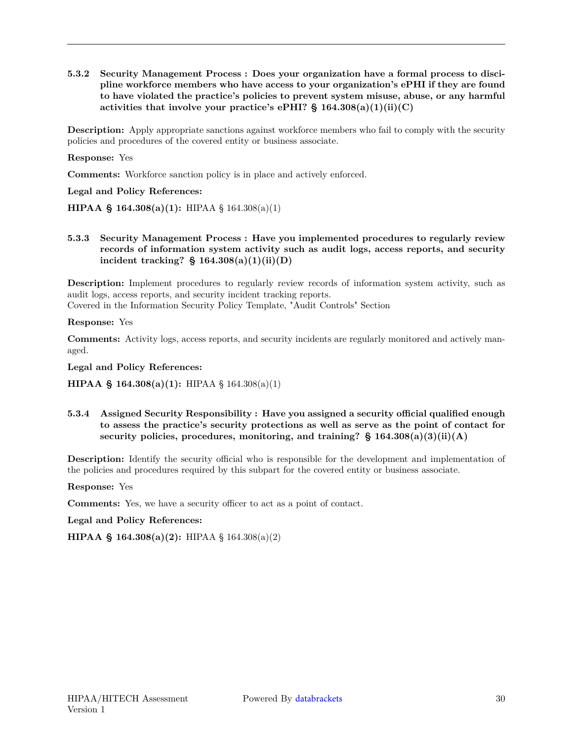**5.3.2 Security Management Process : Does your organization have a formal process to discipline workforce members who have access to your organization's ePHI if they are found to have violated the practice's policies to prevent system misuse, abuse, or any harmful activities that involve your practice's ePHI? § 164.308(a)(1)(ii)(C)**

**Description:** Apply appropriate sanctions against workforce members who fail to comply with the security policies and procedures of the covered entity or business associate.

**Response:** Yes

**Comments:** Workforce sanction policy is in place and actively enforced.

**Legal and Policy References:**

**HIPAA § 164.308(a)(1):** HIPAA § 164.308(a)(1)

**5.3.3 Security Management Process : Have you implemented procedures to regularly review records of information system activity such as audit logs, access reports, and security incident tracking? § 164.308(a)(1)(ii)(D)**

**Description:** Implement procedures to regularly review records of information system activity, such as audit logs, access reports, and security incident tracking reports.

Covered in the Information Security Policy Template, "Audit Controls" Section

**Response:** Yes

**Comments:** Activity logs, access reports, and security incidents are regularly monitored and actively managed.

**Legal and Policy References:**

**HIPAA § 164.308(a)(1):** HIPAA § 164.308(a)(1)

**5.3.4 Assigned Security Responsibility : Have you assigned a security official qualified enough to assess the practice's security protections as well as serve as the point of contact for security policies, procedures, monitoring, and training? § 164.308(a)(3)(ii)(A)**

**Description:** Identify the security official who is responsible for the development and implementation of the policies and procedures required by this subpart for the covered entity or business associate.

**Response:** Yes

**Comments:** Yes, we have a security officer to act as a point of contact.

**Legal and Policy References:**

**HIPAA § 164.308(a)(2):** HIPAA § 164.308(a)(2)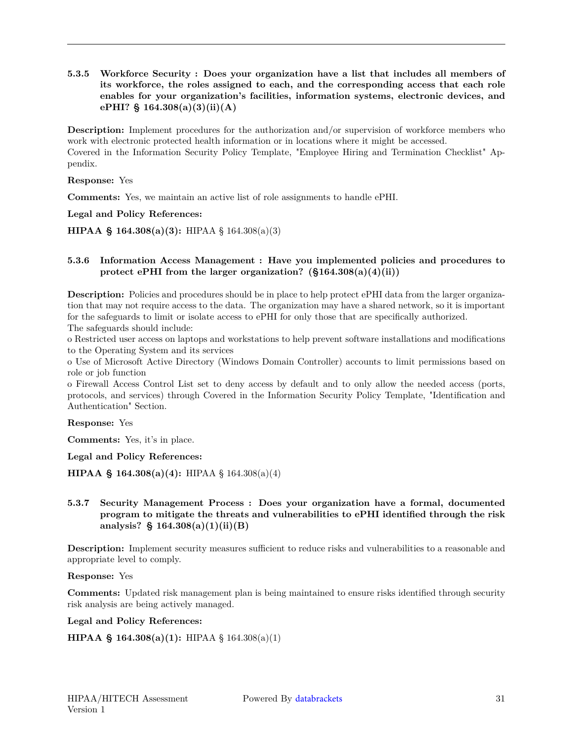**5.3.5 Workforce Security : Does your organization have a list that includes all members of its workforce, the roles assigned to each, and the corresponding access that each role enables for your organization's facilities, information systems, electronic devices, and ePHI? § 164.308(a)(3)(ii)(A)**

**Description:** Implement procedures for the authorization and/or supervision of workforce members who work with electronic protected health information or in locations where it might be accessed. Covered in the Information Security Policy Template, "Employee Hiring and Termination Checklist" Appendix.

**Response:** Yes

**Comments:** Yes, we maintain an active list of role assignments to handle ePHI.

**Legal and Policy References:**

**HIPAA § 164.308(a)(3):** HIPAA § 164.308(a)(3)

#### **5.3.6 Information Access Management : Have you implemented policies and procedures to protect ePHI from the larger organization? (§164.308(a)(4)(ii))**

**Description:** Policies and procedures should be in place to help protect ePHI data from the larger organization that may not require access to the data. The organization may have a shared network, so it is important for the safeguards to limit or isolate access to ePHI for only those that are specifically authorized. The safeguards should include:

o Restricted user access on laptops and workstations to help prevent software installations and modifications to the Operating System and its services

o Use of Microsoft Active Directory (Windows Domain Controller) accounts to limit permissions based on role or job function

o Firewall Access Control List set to deny access by default and to only allow the needed access (ports, protocols, and services) through Covered in the Information Security Policy Template, "Identification and Authentication" Section.

**Response:** Yes

**Comments:** Yes, it's in place.

**Legal and Policy References:**

**HIPAA § 164.308(a)(4):** HIPAA § 164.308(a)(4)

#### **5.3.7 Security Management Process : Does your organization have a formal, documented program to mitigate the threats and vulnerabilities to ePHI identified through the risk analysis? § 164.308(a)(1)(ii)(B)**

**Description:** Implement security measures sufficient to reduce risks and vulnerabilities to a reasonable and appropriate level to comply.

#### **Response:** Yes

**Comments:** Updated risk management plan is being maintained to ensure risks identified through security risk analysis are being actively managed.

**Legal and Policy References:**

**HIPAA § 164.308(a)(1):** HIPAA § 164.308(a)(1)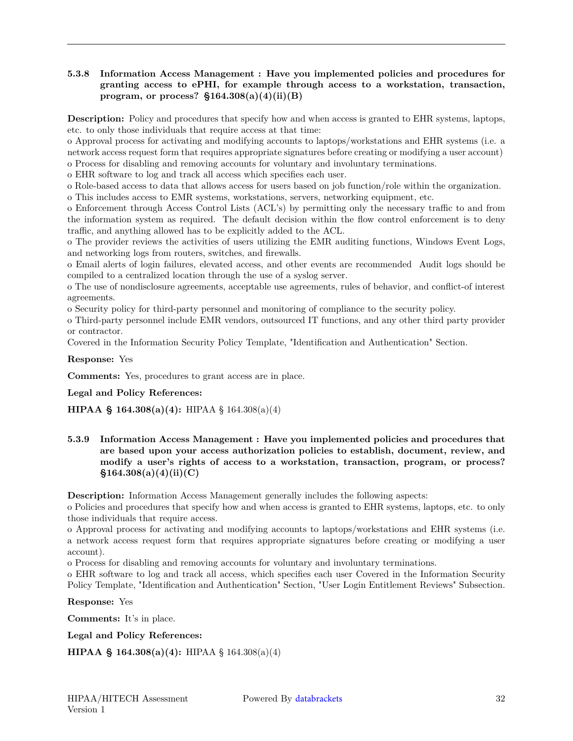#### **5.3.8 Information Access Management : Have you implemented policies and procedures for granting access to ePHI, for example through access to a workstation, transaction, program, or process? §164.308(a)(4)(ii)(B)**

**Description:** Policy and procedures that specify how and when access is granted to EHR systems, laptops, etc. to only those individuals that require access at that time:

o Approval process for activating and modifying accounts to laptops/workstations and EHR systems (i.e. a network access request form that requires appropriate signatures before creating or modifying a user account) o Process for disabling and removing accounts for voluntary and involuntary terminations.

o EHR software to log and track all access which specifies each user.

o Role-based access to data that allows access for users based on job function/role within the organization. o This includes access to EMR systems, workstations, servers, networking equipment, etc.

o Enforcement through Access Control Lists (ACL's) by permitting only the necessary traffic to and from the information system as required. The default decision within the flow control enforcement is to deny traffic, and anything allowed has to be explicitly added to the ACL.

o The provider reviews the activities of users utilizing the EMR auditing functions, Windows Event Logs, and networking logs from routers, switches, and firewalls.

o Email alerts of login failures, elevated access, and other events are recommended Audit logs should be compiled to a centralized location through the use of a syslog server.

o The use of nondisclosure agreements, acceptable use agreements, rules of behavior, and conflict-of interest agreements.

o Security policy for third-party personnel and monitoring of compliance to the security policy.

o Third-party personnel include EMR vendors, outsourced IT functions, and any other third party provider or contractor.

Covered in the Information Security Policy Template, "Identification and Authentication" Section.

#### **Response:** Yes

**Comments:** Yes, procedures to grant access are in place.

#### **Legal and Policy References:**

**HIPAA § 164.308(a)(4):** HIPAA § 164.308(a)(4)

**5.3.9 Information Access Management : Have you implemented policies and procedures that are based upon your access authorization policies to establish, document, review, and modify a user's rights of access to a workstation, transaction, program, or process? §164.308(a)(4)(ii)(C)**

**Description:** Information Access Management generally includes the following aspects:

o Policies and procedures that specify how and when access is granted to EHR systems, laptops, etc. to only those individuals that require access.

o Approval process for activating and modifying accounts to laptops/workstations and EHR systems (i.e. a network access request form that requires appropriate signatures before creating or modifying a user account).

o Process for disabling and removing accounts for voluntary and involuntary terminations.

o EHR software to log and track all access, which specifies each user Covered in the Information Security Policy Template, "Identification and Authentication" Section, "User Login Entitlement Reviews" Subsection.

**Response:** Yes

**Comments:** It's in place.

**Legal and Policy References:**

```
HIPAA § 164.308(a)(4): HIPAA § 164.308(a)(4)
```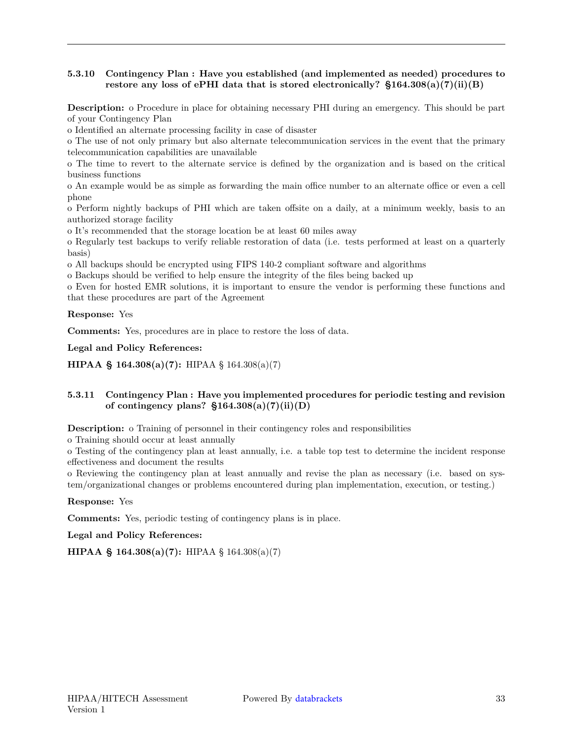#### **5.3.10 Contingency Plan : Have you established (and implemented as needed) procedures to restore any loss of ePHI data that is stored electronically? §164.308(a)(7)(ii)(B)**

**Description:** o Procedure in place for obtaining necessary PHI during an emergency. This should be part of your Contingency Plan

o Identified an alternate processing facility in case of disaster

o The use of not only primary but also alternate telecommunication services in the event that the primary telecommunication capabilities are unavailable

o The time to revert to the alternate service is defined by the organization and is based on the critical business functions

o An example would be as simple as forwarding the main office number to an alternate office or even a cell phone

o Perform nightly backups of PHI which are taken offsite on a daily, at a minimum weekly, basis to an authorized storage facility

o It's recommended that the storage location be at least 60 miles away

o Regularly test backups to verify reliable restoration of data (i.e. tests performed at least on a quarterly basis)

o All backups should be encrypted using FIPS 140-2 compliant software and algorithms

o Backups should be verified to help ensure the integrity of the files being backed up

o Even for hosted EMR solutions, it is important to ensure the vendor is performing these functions and that these procedures are part of the Agreement

**Response:** Yes

**Comments:** Yes, procedures are in place to restore the loss of data.

**Legal and Policy References:**

**HIPAA § 164.308(a)(7):** HIPAA § 164.308(a)(7)

#### **5.3.11 Contingency Plan : Have you implemented procedures for periodic testing and revision of contingency plans? §164.308(a)(7)(ii)(D)**

**Description:** o Training of personnel in their contingency roles and responsibilities

o Training should occur at least annually

o Testing of the contingency plan at least annually, i.e. a table top test to determine the incident response effectiveness and document the results

o Reviewing the contingency plan at least annually and revise the plan as necessary (i.e. based on system/organizational changes or problems encountered during plan implementation, execution, or testing.)

**Response:** Yes

**Comments:** Yes, periodic testing of contingency plans is in place.

**Legal and Policy References:**

**HIPAA § 164.308(a)(7):** HIPAA § 164.308(a)(7)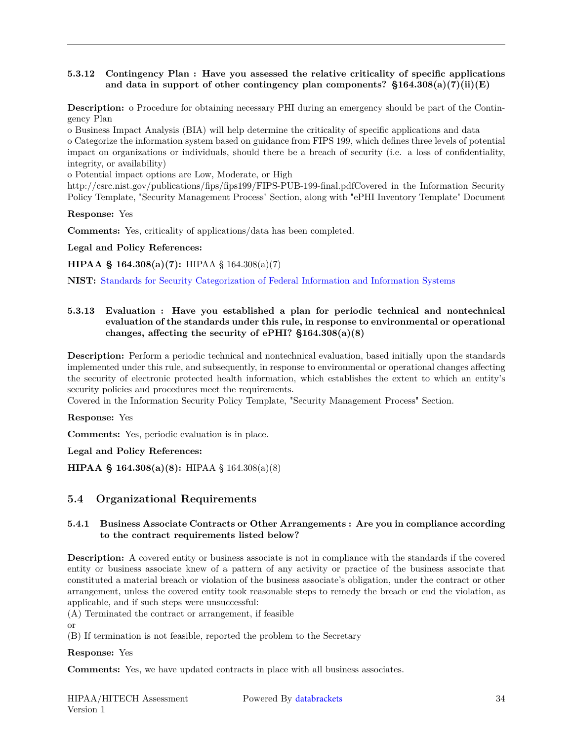#### **5.3.12 Contingency Plan : Have you assessed the relative criticality of specific applications and data in support of other contingency plan components? §164.308(a)(7)(ii)(E)**

**Description:** o Procedure for obtaining necessary PHI during an emergency should be part of the Contingency Plan

o Business Impact Analysis (BIA) will help determine the criticality of specific applications and data o Categorize the information system based on guidance from FIPS 199, which defines three levels of potential impact on organizations or individuals, should there be a breach of security (i.e. a loss of confidentiality, integrity, or availability)

o Potential impact options are Low, Moderate, or High

http://csrc.nist.gov/publications/fips/fips199/FIPS-PUB-199-final.pdfCovered in the Information Security Policy Template, "Security Management Process" Section, along with "ePHI Inventory Template" Document

**Response:** Yes

**Comments:** Yes, criticality of applications/data has been completed.

**Legal and Policy References:**

**HIPAA § 164.308(a)(7):** HIPAA § 164.308(a)(7)

**NIST:** [Standards for Security Categorization of Federal Information and Information Systems](https://csrc.nist.gov/csrc/media/publications/fips/199/final/documents/fips{-}pub{-}199{-}final.pdf)

#### **5.3.13 Evaluation : Have you established a plan for periodic technical and nontechnical evaluation of the standards under this rule, in response to environmental or operational changes, affecting the security of ePHI? §164.308(a)(8)**

**Description:** Perform a periodic technical and nontechnical evaluation, based initially upon the standards implemented under this rule, and subsequently, in response to environmental or operational changes affecting the security of electronic protected health information, which establishes the extent to which an entity's security policies and procedures meet the requirements.

Covered in the Information Security Policy Template, "Security Management Process" Section.

**Response:** Yes

**Comments:** Yes, periodic evaluation is in place.

**Legal and Policy References:**

<span id="page-33-0"></span>**HIPAA § 164.308(a)(8):** HIPAA § 164.308(a)(8)

#### **5.4 Organizational Requirements**

#### **5.4.1 Business Associate Contracts or Other Arrangements : Are you in compliance according to the contract requirements listed below?**

**Description:** A covered entity or business associate is not in compliance with the standards if the covered entity or business associate knew of a pattern of any activity or practice of the business associate that constituted a material breach or violation of the business associate's obligation, under the contract or other arrangement, unless the covered entity took reasonable steps to remedy the breach or end the violation, as applicable, and if such steps were unsuccessful:

(A) Terminated the contract or arrangement, if feasible

or

(B) If termination is not feasible, reported the problem to the Secretary

#### **Response:** Yes

**Comments:** Yes, we have updated contracts in place with all business associates.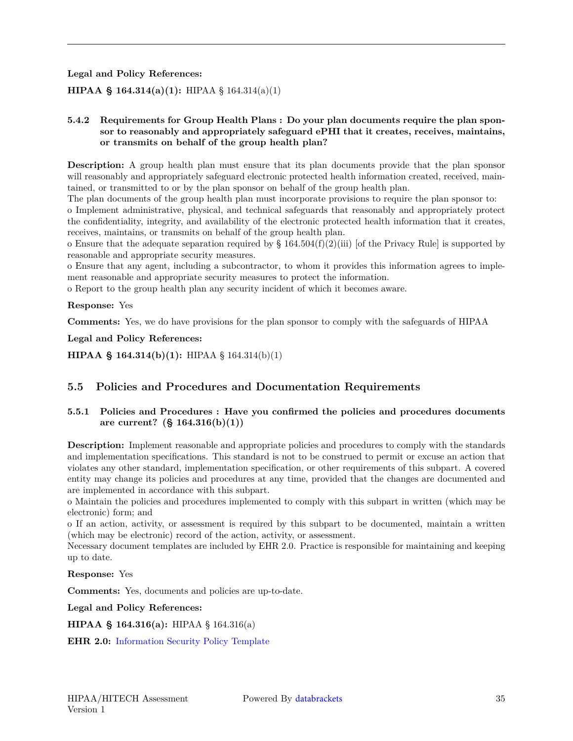**Legal and Policy References:**

### **HIPAA § 164.314(a)(1):** HIPAA § 164.314(a)(1)

#### **5.4.2 Requirements for Group Health Plans : Do your plan documents require the plan sponsor to reasonably and appropriately safeguard ePHI that it creates, receives, maintains, or transmits on behalf of the group health plan?**

**Description:** A group health plan must ensure that its plan documents provide that the plan sponsor will reasonably and appropriately safeguard electronic protected health information created, received, maintained, or transmitted to or by the plan sponsor on behalf of the group health plan.

The plan documents of the group health plan must incorporate provisions to require the plan sponsor to:

o Implement administrative, physical, and technical safeguards that reasonably and appropriately protect the confidentiality, integrity, and availability of the electronic protected health information that it creates, receives, maintains, or transmits on behalf of the group health plan.

o Ensure that the adequate separation required by  $\S 164.504(f)(2)(iii)$  [of the Privacy Rule] is supported by reasonable and appropriate security measures.

o Ensure that any agent, including a subcontractor, to whom it provides this information agrees to implement reasonable and appropriate security measures to protect the information.

o Report to the group health plan any security incident of which it becomes aware.

#### **Response:** Yes

**Comments:** Yes, we do have provisions for the plan sponsor to comply with the safeguards of HIPAA

**Legal and Policy References:**

<span id="page-34-0"></span>**HIPAA § 164.314(b)(1):** HIPAA § 164.314(b)(1)

### **5.5 Policies and Procedures and Documentation Requirements**

#### **5.5.1 Policies and Procedures : Have you confirmed the policies and procedures documents are current? (§ 164.316(b)(1))**

**Description:** Implement reasonable and appropriate policies and procedures to comply with the standards and implementation specifications. This standard is not to be construed to permit or excuse an action that violates any other standard, implementation specification, or other requirements of this subpart. A covered entity may change its policies and procedures at any time, provided that the changes are documented and are implemented in accordance with this subpart.

o Maintain the policies and procedures implemented to comply with this subpart in written (which may be electronic) form; and

o If an action, activity, or assessment is required by this subpart to be documented, maintain a written (which may be electronic) record of the action, activity, or assessment.

Necessary document templates are included by EHR 2.0. Practice is responsible for maintaining and keeping up to date.

**Response:** Yes

**Comments:** Yes, documents and policies are up-to-date.

**Legal and Policy References:**

**HIPAA § 164.316(a):** HIPAA § 164.316(a)

<span id="page-34-1"></span>**EHR 2.0:** [Information Security Policy Template](http://ehr20.com/online{-}toolkit/Information_Security_Policy_Template.docx)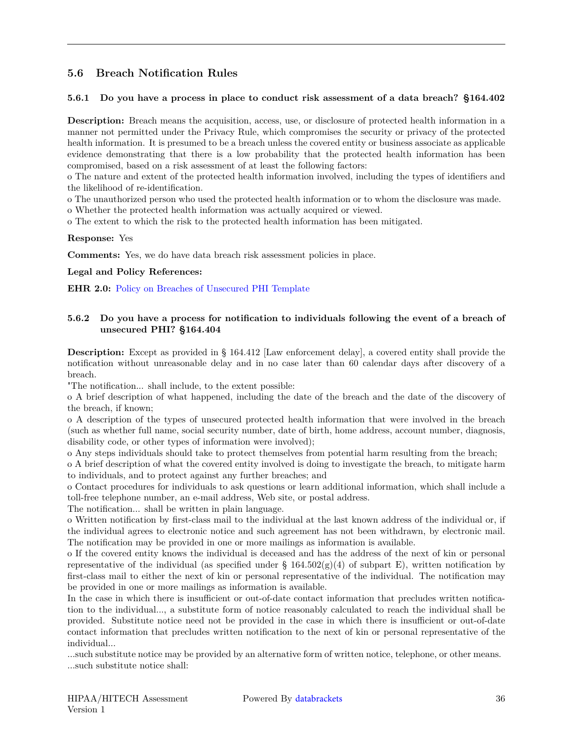## **5.6 Breach Notification Rules**

#### **5.6.1 Do you have a process in place to conduct risk assessment of a data breach? §164.402**

**Description:** Breach means the acquisition, access, use, or disclosure of protected health information in a manner not permitted under the Privacy Rule, which compromises the security or privacy of the protected health information. It is presumed to be a breach unless the covered entity or business associate as applicable evidence demonstrating that there is a low probability that the protected health information has been compromised, based on a risk assessment of at least the following factors:

o The nature and extent of the protected health information involved, including the types of identifiers and the likelihood of re-identification.

o The unauthorized person who used the protected health information or to whom the disclosure was made.

o Whether the protected health information was actually acquired or viewed.

o The extent to which the risk to the protected health information has been mitigated.

#### **Response:** Yes

**Comments:** Yes, we do have data breach risk assessment policies in place.

#### **Legal and Policy References:**

**EHR 2.0:** [Policy on Breaches of Unsecured PHI Template](http://ehr20.com/online{-}toolkit/Policy_on_Breaches_of_Unsecured_PHI_Template.docx)

#### **5.6.2 Do you have a process for notification to individuals following the event of a breach of unsecured PHI? §164.404**

**Description:** Except as provided in § 164.412 [Law enforcement delay], a covered entity shall provide the notification without unreasonable delay and in no case later than 60 calendar days after discovery of a breach.

"The notification... shall include, to the extent possible:

o A brief description of what happened, including the date of the breach and the date of the discovery of the breach, if known;

o A description of the types of unsecured protected health information that were involved in the breach (such as whether full name, social security number, date of birth, home address, account number, diagnosis, disability code, or other types of information were involved);

o Any steps individuals should take to protect themselves from potential harm resulting from the breach;

o A brief description of what the covered entity involved is doing to investigate the breach, to mitigate harm to individuals, and to protect against any further breaches; and

o Contact procedures for individuals to ask questions or learn additional information, which shall include a toll-free telephone number, an e-mail address, Web site, or postal address.

The notification... shall be written in plain language.

o Written notification by first-class mail to the individual at the last known address of the individual or, if the individual agrees to electronic notice and such agreement has not been withdrawn, by electronic mail. The notification may be provided in one or more mailings as information is available.

o If the covered entity knows the individual is deceased and has the address of the next of kin or personal representative of the individual (as specified under §  $164.502(g)(4)$  of subpart E), written notification by first-class mail to either the next of kin or personal representative of the individual. The notification may be provided in one or more mailings as information is available.

In the case in which there is insufficient or out-of-date contact information that precludes written notification to the individual..., a substitute form of notice reasonably calculated to reach the individual shall be provided. Substitute notice need not be provided in the case in which there is insufficient or out-of-date contact information that precludes written notification to the next of kin or personal representative of the individual...

...such substitute notice may be provided by an alternative form of written notice, telephone, or other means. ...such substitute notice shall: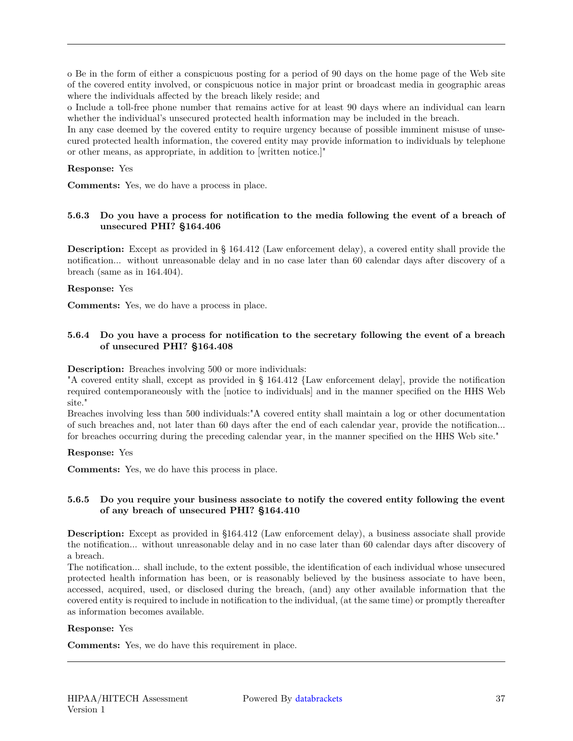o Be in the form of either a conspicuous posting for a period of 90 days on the home page of the Web site of the covered entity involved, or conspicuous notice in major print or broadcast media in geographic areas where the individuals affected by the breach likely reside; and

o Include a toll-free phone number that remains active for at least 90 days where an individual can learn whether the individual's unsecured protected health information may be included in the breach.

In any case deemed by the covered entity to require urgency because of possible imminent misuse of unsecured protected health information, the covered entity may provide information to individuals by telephone or other means, as appropriate, in addition to [written notice.]"

#### **Response:** Yes

**Comments:** Yes, we do have a process in place.

#### **5.6.3 Do you have a process for notification to the media following the event of a breach of unsecured PHI? §164.406**

**Description:** Except as provided in § 164.412 (Law enforcement delay), a covered entity shall provide the notification... without unreasonable delay and in no case later than 60 calendar days after discovery of a breach (same as in 164.404).

#### **Response:** Yes

**Comments:** Yes, we do have a process in place.

#### **5.6.4 Do you have a process for notification to the secretary following the event of a breach of unsecured PHI? §164.408**

**Description:** Breaches involving 500 or more individuals:

"A covered entity shall, except as provided in § 164.412 {Law enforcement delay], provide the notification required contemporaneously with the [notice to individuals] and in the manner specified on the HHS Web site."

Breaches involving less than 500 individuals:"A covered entity shall maintain a log or other documentation of such breaches and, not later than 60 days after the end of each calendar year, provide the notification... for breaches occurring during the preceding calendar year, in the manner specified on the HHS Web site."

**Response:** Yes

**Comments:** Yes, we do have this process in place.

#### **5.6.5 Do you require your business associate to notify the covered entity following the event of any breach of unsecured PHI? §164.410**

**Description:** Except as provided in §164.412 (Law enforcement delay), a business associate shall provide the notification... without unreasonable delay and in no case later than 60 calendar days after discovery of a breach.

The notification... shall include, to the extent possible, the identification of each individual whose unsecured protected health information has been, or is reasonably believed by the business associate to have been, accessed, acquired, used, or disclosed during the breach, (and) any other available information that the covered entity is required to include in notification to the individual, (at the same time) or promptly thereafter as information becomes available.

#### **Response:** Yes

<span id="page-36-0"></span>**Comments:** Yes, we do have this requirement in place.